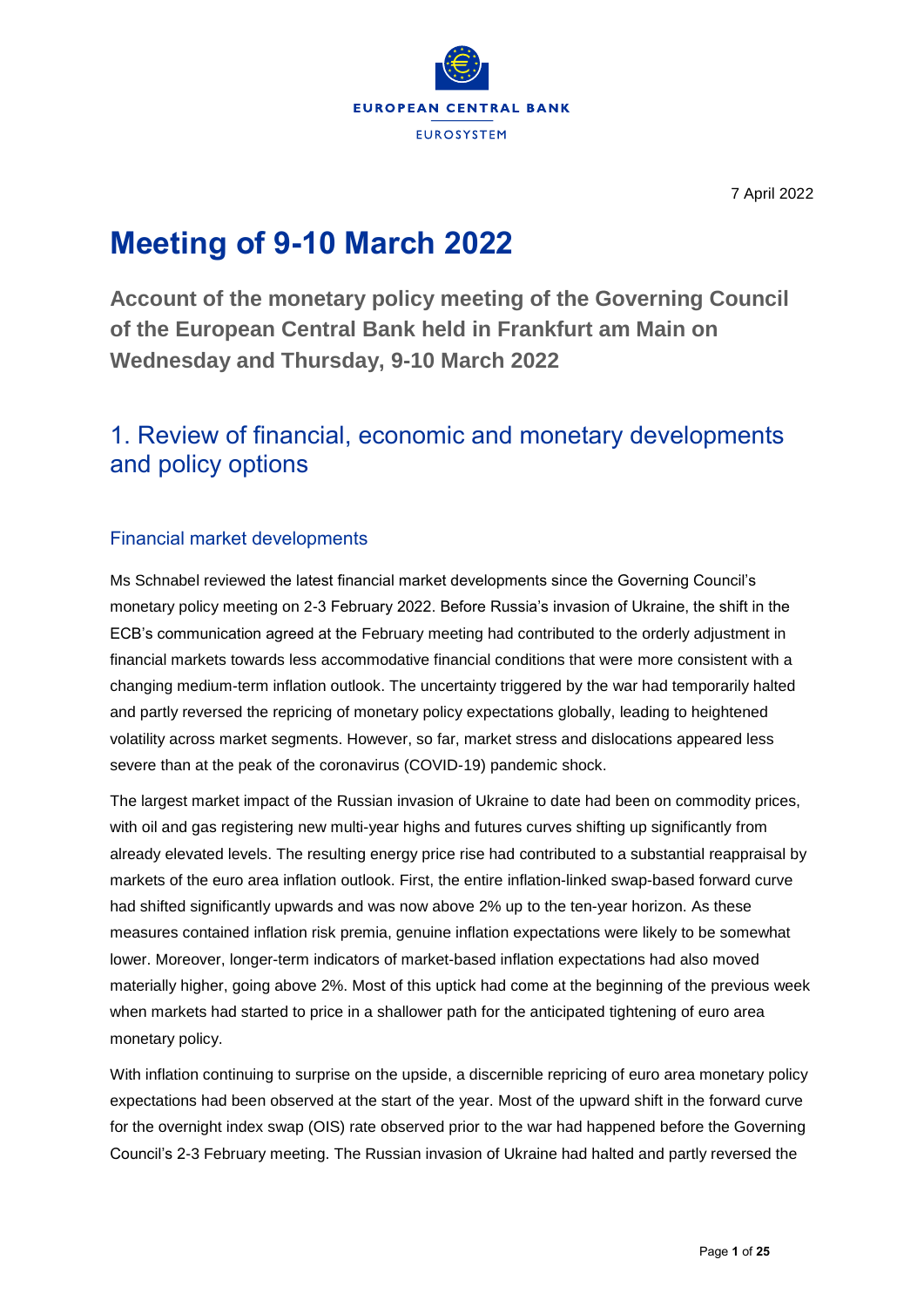

# **Meeting of 9-10 March 2022**

**Account of the monetary policy meeting of the Governing Council of the European Central Bank held in Frankfurt am Main on Wednesday and Thursday, 9-10 March 2022**

# 1. Review of financial, economic and monetary developments and policy options

# Financial market developments

Ms Schnabel reviewed the latest financial market developments since the Governing Council's monetary policy meeting on 2-3 February 2022. Before Russia's invasion of Ukraine, the shift in the ECB's communication agreed at the February meeting had contributed to the orderly adjustment in financial markets towards less accommodative financial conditions that were more consistent with a changing medium-term inflation outlook. The uncertainty triggered by the war had temporarily halted and partly reversed the repricing of monetary policy expectations globally, leading to heightened volatility across market segments. However, so far, market stress and dislocations appeared less severe than at the peak of the coronavirus (COVID-19) pandemic shock.

The largest market impact of the Russian invasion of Ukraine to date had been on commodity prices, with oil and gas registering new multi-year highs and futures curves shifting up significantly from already elevated levels. The resulting energy price rise had contributed to a substantial reappraisal by markets of the euro area inflation outlook. First, the entire inflation-linked swap-based forward curve had shifted significantly upwards and was now above 2% up to the ten-year horizon. As these measures contained inflation risk premia, genuine inflation expectations were likely to be somewhat lower. Moreover, longer-term indicators of market-based inflation expectations had also moved materially higher, going above 2%. Most of this uptick had come at the beginning of the previous week when markets had started to price in a shallower path for the anticipated tightening of euro area monetary policy.

With inflation continuing to surprise on the upside, a discernible repricing of euro area monetary policy expectations had been observed at the start of the year. Most of the upward shift in the forward curve for the overnight index swap (OIS) rate observed prior to the war had happened before the Governing Council's 2-3 February meeting. The Russian invasion of Ukraine had halted and partly reversed the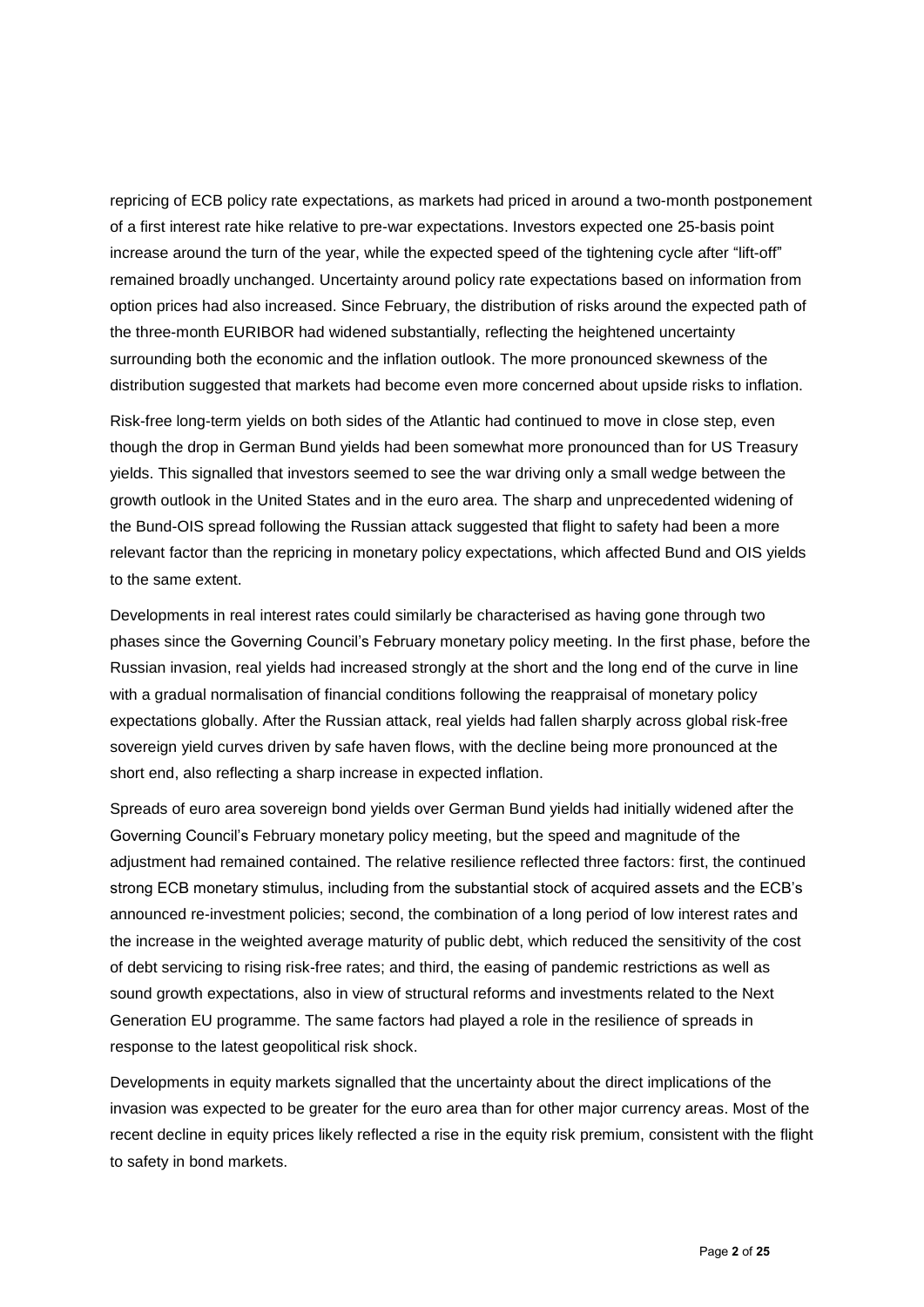repricing of ECB policy rate expectations, as markets had priced in around a two-month postponement of a first interest rate hike relative to pre-war expectations. Investors expected one 25-basis point increase around the turn of the year, while the expected speed of the tightening cycle after "lift-off" remained broadly unchanged. Uncertainty around policy rate expectations based on information from option prices had also increased. Since February, the distribution of risks around the expected path of the three-month EURIBOR had widened substantially, reflecting the heightened uncertainty surrounding both the economic and the inflation outlook. The more pronounced skewness of the distribution suggested that markets had become even more concerned about upside risks to inflation.

Risk-free long-term yields on both sides of the Atlantic had continued to move in close step, even though the drop in German Bund yields had been somewhat more pronounced than for US Treasury yields. This signalled that investors seemed to see the war driving only a small wedge between the growth outlook in the United States and in the euro area. The sharp and unprecedented widening of the Bund-OIS spread following the Russian attack suggested that flight to safety had been a more relevant factor than the repricing in monetary policy expectations, which affected Bund and OIS yields to the same extent.

Developments in real interest rates could similarly be characterised as having gone through two phases since the Governing Council's February monetary policy meeting. In the first phase, before the Russian invasion, real yields had increased strongly at the short and the long end of the curve in line with a gradual normalisation of financial conditions following the reappraisal of monetary policy expectations globally. After the Russian attack, real yields had fallen sharply across global risk-free sovereign yield curves driven by safe haven flows, with the decline being more pronounced at the short end, also reflecting a sharp increase in expected inflation.

Spreads of euro area sovereign bond yields over German Bund yields had initially widened after the Governing Council's February monetary policy meeting, but the speed and magnitude of the adjustment had remained contained. The relative resilience reflected three factors: first, the continued strong ECB monetary stimulus, including from the substantial stock of acquired assets and the ECB's announced re-investment policies; second, the combination of a long period of low interest rates and the increase in the weighted average maturity of public debt, which reduced the sensitivity of the cost of debt servicing to rising risk-free rates; and third, the easing of pandemic restrictions as well as sound growth expectations, also in view of structural reforms and investments related to the Next Generation EU programme. The same factors had played a role in the resilience of spreads in response to the latest geopolitical risk shock.

Developments in equity markets signalled that the uncertainty about the direct implications of the invasion was expected to be greater for the euro area than for other major currency areas. Most of the recent decline in equity prices likely reflected a rise in the equity risk premium, consistent with the flight to safety in bond markets.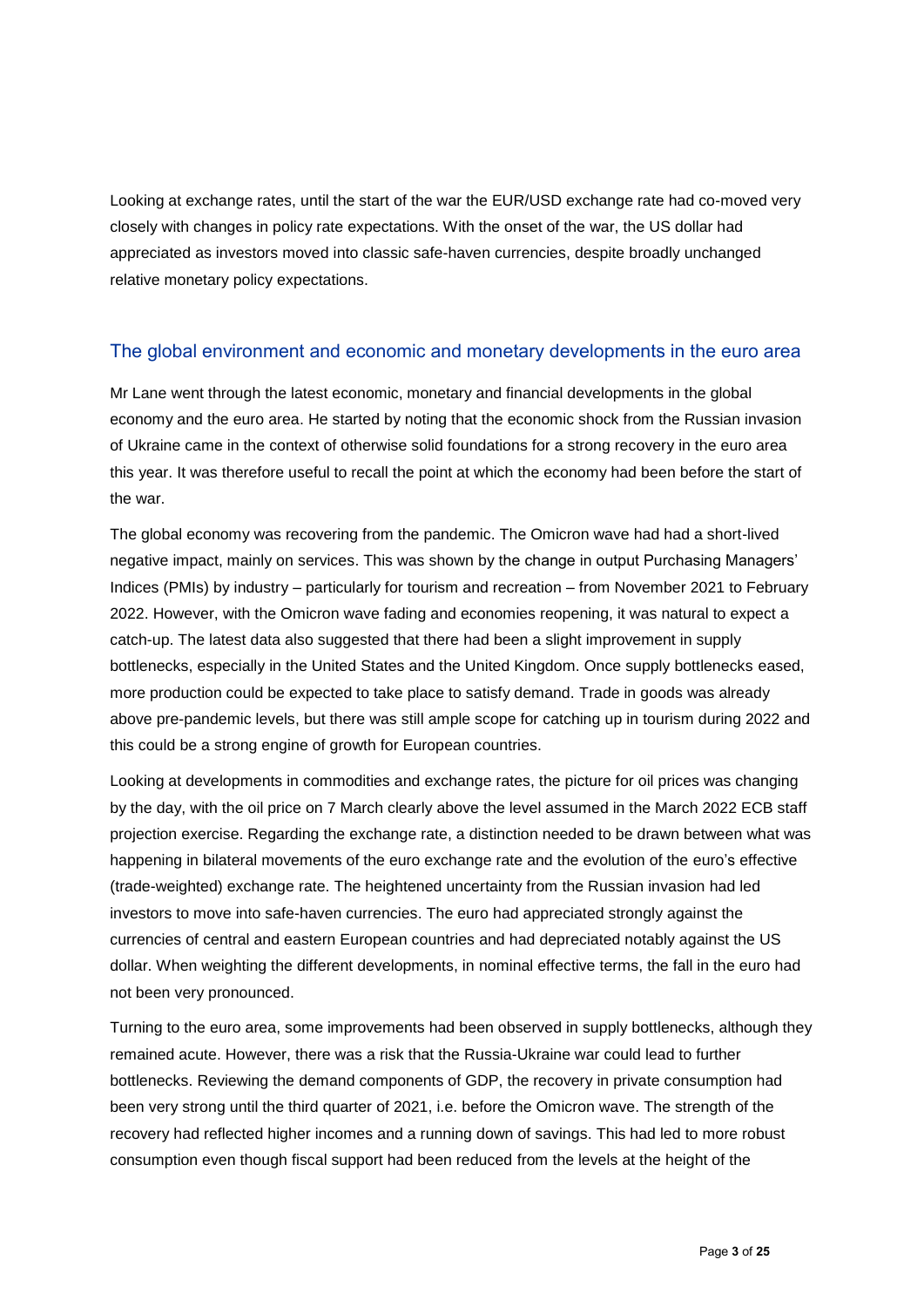Looking at exchange rates, until the start of the war the EUR/USD exchange rate had co-moved very closely with changes in policy rate expectations. With the onset of the war, the US dollar had appreciated as investors moved into classic safe-haven currencies, despite broadly unchanged relative monetary policy expectations.

### The global environment and economic and monetary developments in the euro area

Mr Lane went through the latest economic, monetary and financial developments in the global economy and the euro area. He started by noting that the economic shock from the Russian invasion of Ukraine came in the context of otherwise solid foundations for a strong recovery in the euro area this year. It was therefore useful to recall the point at which the economy had been before the start of the war.

The global economy was recovering from the pandemic. The Omicron wave had had a short-lived negative impact, mainly on services. This was shown by the change in output Purchasing Managers' Indices (PMIs) by industry – particularly for tourism and recreation – from November 2021 to February 2022. However, with the Omicron wave fading and economies reopening, it was natural to expect a catch-up. The latest data also suggested that there had been a slight improvement in supply bottlenecks, especially in the United States and the United Kingdom. Once supply bottlenecks eased, more production could be expected to take place to satisfy demand. Trade in goods was already above pre-pandemic levels, but there was still ample scope for catching up in tourism during 2022 and this could be a strong engine of growth for European countries.

Looking at developments in commodities and exchange rates, the picture for oil prices was changing by the day, with the oil price on 7 March clearly above the level assumed in the March 2022 ECB staff projection exercise. Regarding the exchange rate, a distinction needed to be drawn between what was happening in bilateral movements of the euro exchange rate and the evolution of the euro's effective (trade-weighted) exchange rate. The heightened uncertainty from the Russian invasion had led investors to move into safe-haven currencies. The euro had appreciated strongly against the currencies of central and eastern European countries and had depreciated notably against the US dollar. When weighting the different developments, in nominal effective terms, the fall in the euro had not been very pronounced.

Turning to the euro area, some improvements had been observed in supply bottlenecks, although they remained acute. However, there was a risk that the Russia-Ukraine war could lead to further bottlenecks. Reviewing the demand components of GDP, the recovery in private consumption had been very strong until the third quarter of 2021, i.e. before the Omicron wave. The strength of the recovery had reflected higher incomes and a running down of savings. This had led to more robust consumption even though fiscal support had been reduced from the levels at the height of the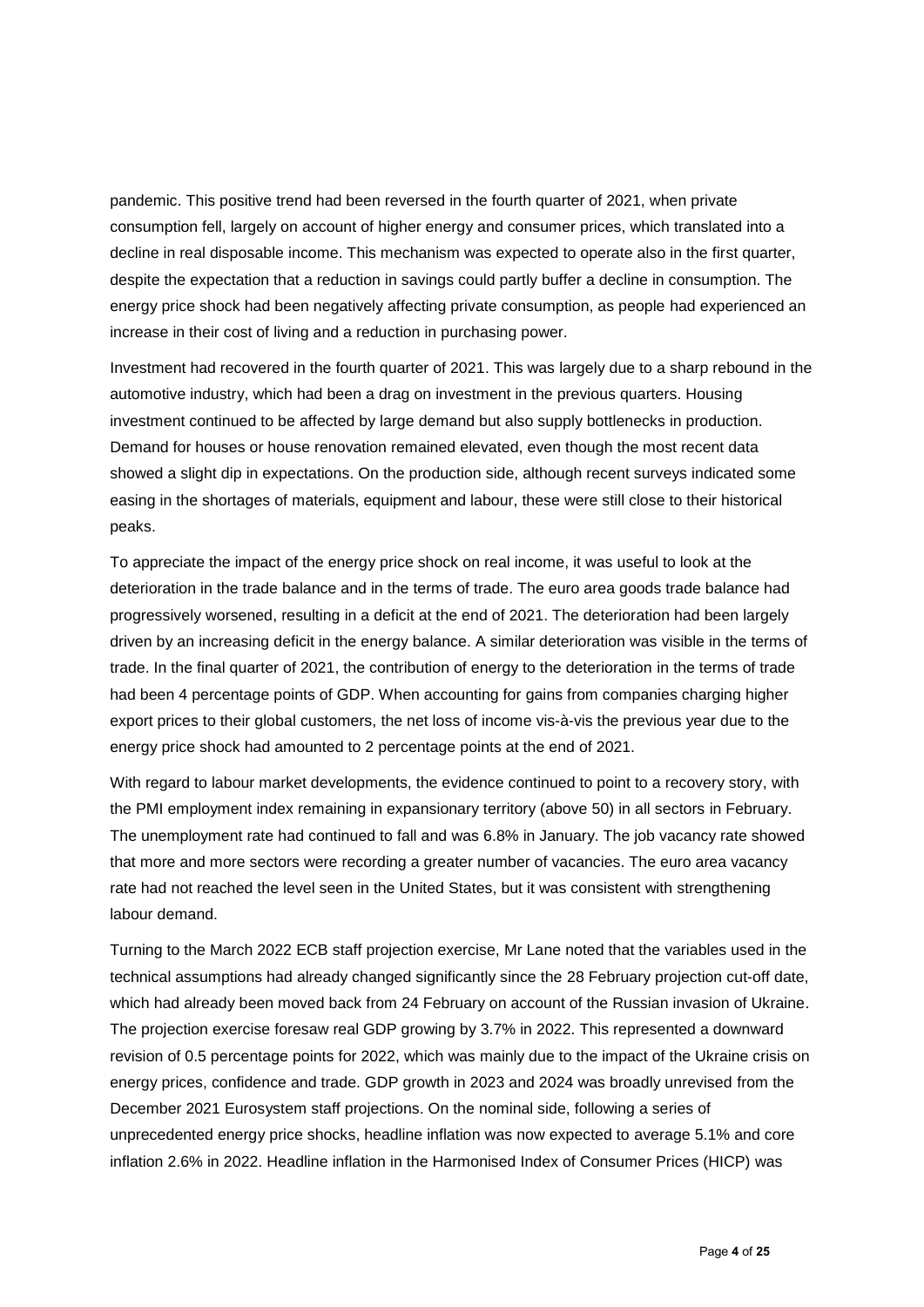pandemic. This positive trend had been reversed in the fourth quarter of 2021, when private consumption fell, largely on account of higher energy and consumer prices, which translated into a decline in real disposable income. This mechanism was expected to operate also in the first quarter, despite the expectation that a reduction in savings could partly buffer a decline in consumption. The energy price shock had been negatively affecting private consumption, as people had experienced an increase in their cost of living and a reduction in purchasing power.

Investment had recovered in the fourth quarter of 2021. This was largely due to a sharp rebound in the automotive industry, which had been a drag on investment in the previous quarters. Housing investment continued to be affected by large demand but also supply bottlenecks in production. Demand for houses or house renovation remained elevated, even though the most recent data showed a slight dip in expectations. On the production side, although recent surveys indicated some easing in the shortages of materials, equipment and labour, these were still close to their historical peaks.

To appreciate the impact of the energy price shock on real income, it was useful to look at the deterioration in the trade balance and in the terms of trade. The euro area goods trade balance had progressively worsened, resulting in a deficit at the end of 2021. The deterioration had been largely driven by an increasing deficit in the energy balance. A similar deterioration was visible in the terms of trade. In the final quarter of 2021, the contribution of energy to the deterioration in the terms of trade had been 4 percentage points of GDP. When accounting for gains from companies charging higher export prices to their global customers, the net loss of income vis-à-vis the previous year due to the energy price shock had amounted to 2 percentage points at the end of 2021.

With regard to labour market developments, the evidence continued to point to a recovery story, with the PMI employment index remaining in expansionary territory (above 50) in all sectors in February. The unemployment rate had continued to fall and was 6.8% in January. The job vacancy rate showed that more and more sectors were recording a greater number of vacancies. The euro area vacancy rate had not reached the level seen in the United States, but it was consistent with strengthening labour demand.

Turning to the March 2022 ECB staff projection exercise, Mr Lane noted that the variables used in the technical assumptions had already changed significantly since the 28 February projection cut-off date, which had already been moved back from 24 February on account of the Russian invasion of Ukraine. The projection exercise foresaw real GDP growing by 3.7% in 2022. This represented a downward revision of 0.5 percentage points for 2022, which was mainly due to the impact of the Ukraine crisis on energy prices, confidence and trade. GDP growth in 2023 and 2024 was broadly unrevised from the December 2021 Eurosystem staff projections. On the nominal side, following a series of unprecedented energy price shocks, headline inflation was now expected to average 5.1% and core inflation 2.6% in 2022. Headline inflation in the Harmonised Index of Consumer Prices (HICP) was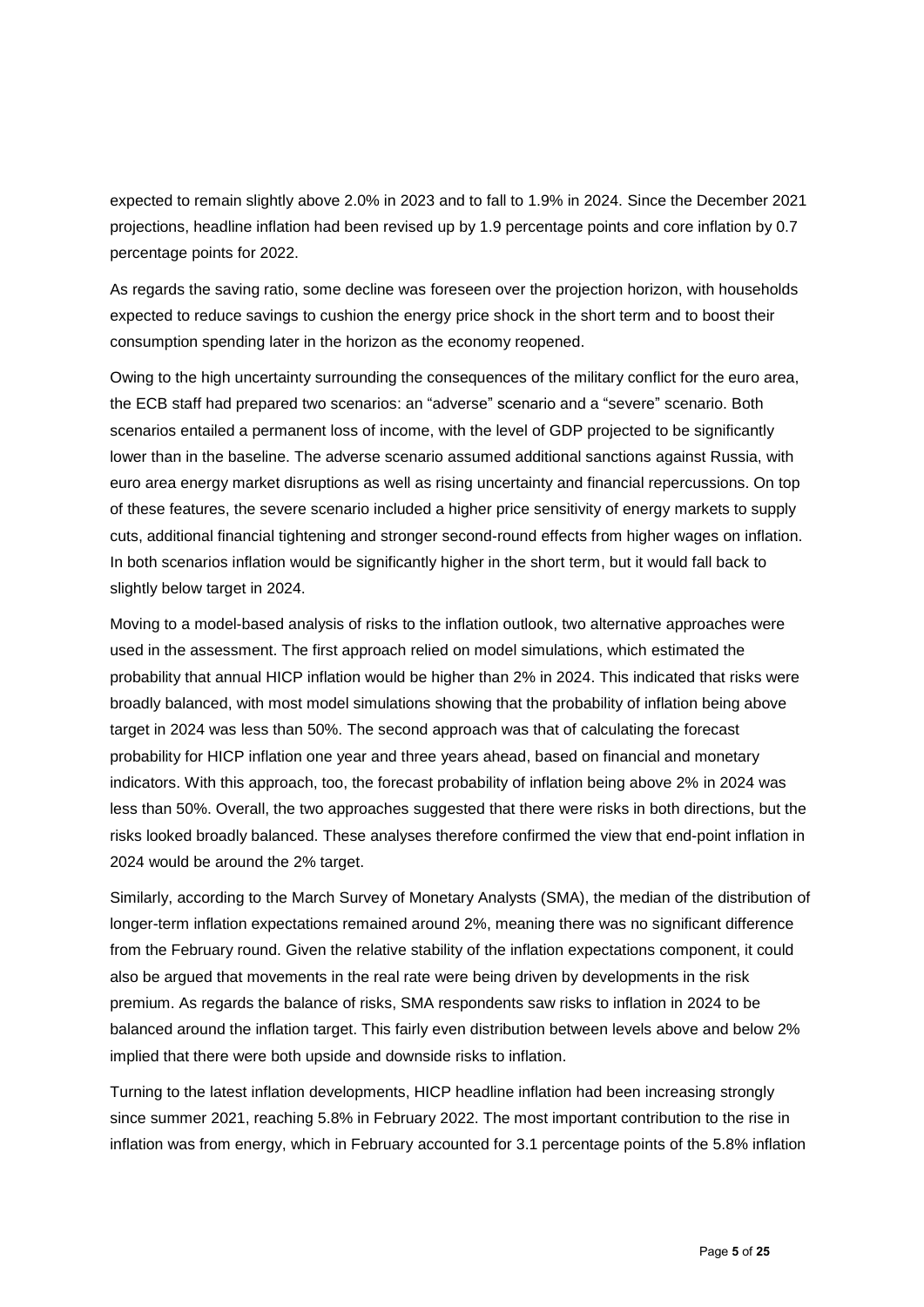expected to remain slightly above 2.0% in 2023 and to fall to 1.9% in 2024. Since the December 2021 projections, headline inflation had been revised up by 1.9 percentage points and core inflation by 0.7 percentage points for 2022.

As regards the saving ratio, some decline was foreseen over the projection horizon, with households expected to reduce savings to cushion the energy price shock in the short term and to boost their consumption spending later in the horizon as the economy reopened.

Owing to the high uncertainty surrounding the consequences of the military conflict for the euro area, the ECB staff had prepared two scenarios: an "adverse" scenario and a "severe" scenario. Both scenarios entailed a permanent loss of income, with the level of GDP projected to be significantly lower than in the baseline. The adverse scenario assumed additional sanctions against Russia, with euro area energy market disruptions as well as rising uncertainty and financial repercussions. On top of these features, the severe scenario included a higher price sensitivity of energy markets to supply cuts, additional financial tightening and stronger second-round effects from higher wages on inflation. In both scenarios inflation would be significantly higher in the short term, but it would fall back to slightly below target in 2024.

Moving to a model-based analysis of risks to the inflation outlook, two alternative approaches were used in the assessment. The first approach relied on model simulations, which estimated the probability that annual HICP inflation would be higher than 2% in 2024. This indicated that risks were broadly balanced, with most model simulations showing that the probability of inflation being above target in 2024 was less than 50%. The second approach was that of calculating the forecast probability for HICP inflation one year and three years ahead, based on financial and monetary indicators. With this approach, too, the forecast probability of inflation being above 2% in 2024 was less than 50%. Overall, the two approaches suggested that there were risks in both directions, but the risks looked broadly balanced. These analyses therefore confirmed the view that end-point inflation in 2024 would be around the 2% target.

Similarly, according to the March Survey of Monetary Analysts (SMA), the median of the distribution of longer-term inflation expectations remained around 2%, meaning there was no significant difference from the February round. Given the relative stability of the inflation expectations component, it could also be argued that movements in the real rate were being driven by developments in the risk premium. As regards the balance of risks, SMA respondents saw risks to inflation in 2024 to be balanced around the inflation target. This fairly even distribution between levels above and below 2% implied that there were both upside and downside risks to inflation.

Turning to the latest inflation developments, HICP headline inflation had been increasing strongly since summer 2021, reaching 5.8% in February 2022. The most important contribution to the rise in inflation was from energy, which in February accounted for 3.1 percentage points of the 5.8% inflation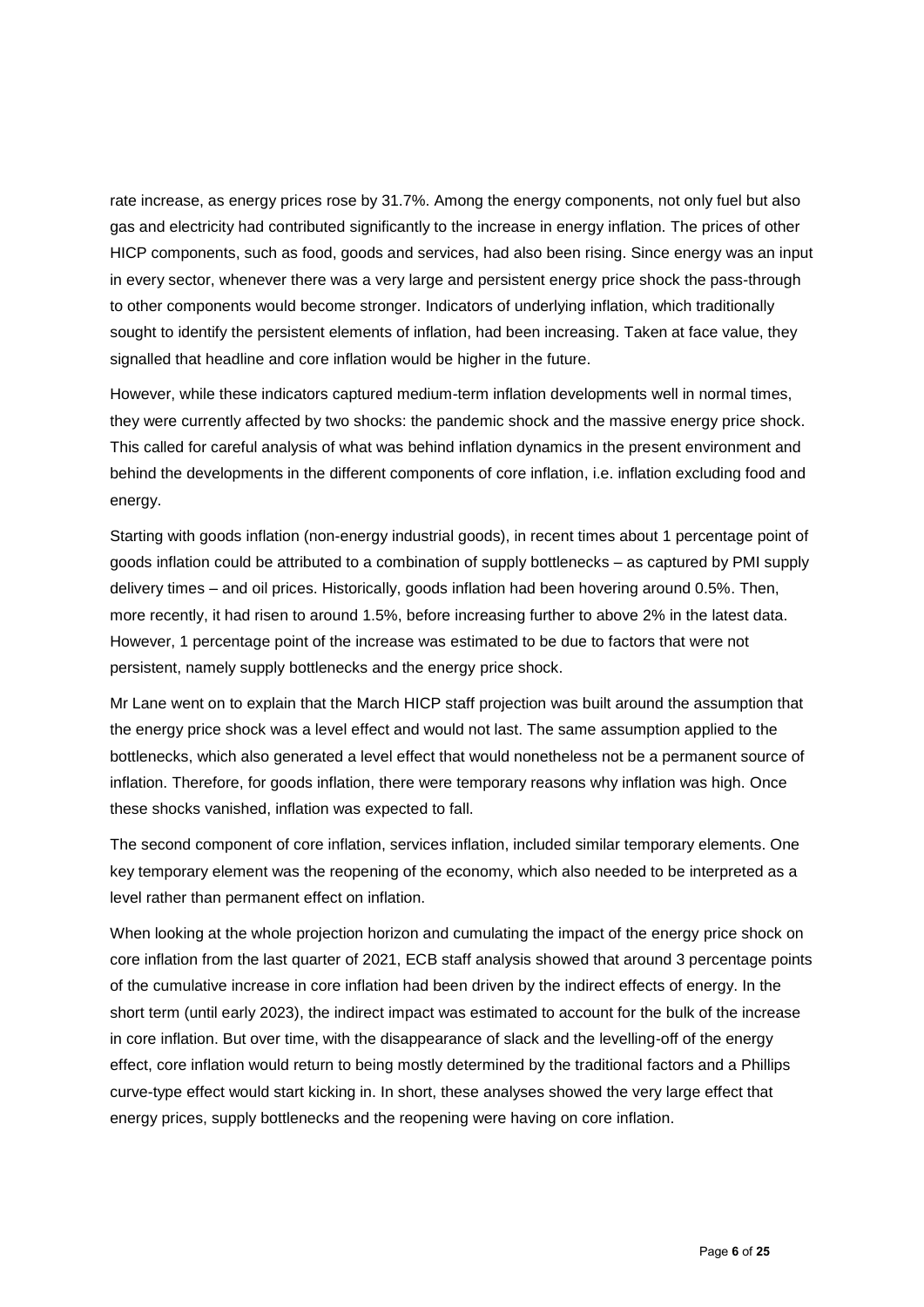rate increase, as energy prices rose by 31.7%. Among the energy components, not only fuel but also gas and electricity had contributed significantly to the increase in energy inflation. The prices of other HICP components, such as food, goods and services, had also been rising. Since energy was an input in every sector, whenever there was a very large and persistent energy price shock the pass-through to other components would become stronger. Indicators of underlying inflation, which traditionally sought to identify the persistent elements of inflation, had been increasing. Taken at face value, they signalled that headline and core inflation would be higher in the future.

However, while these indicators captured medium-term inflation developments well in normal times, they were currently affected by two shocks: the pandemic shock and the massive energy price shock. This called for careful analysis of what was behind inflation dynamics in the present environment and behind the developments in the different components of core inflation, i.e. inflation excluding food and energy.

Starting with goods inflation (non-energy industrial goods), in recent times about 1 percentage point of goods inflation could be attributed to a combination of supply bottlenecks – as captured by PMI supply delivery times – and oil prices. Historically, goods inflation had been hovering around 0.5%. Then, more recently, it had risen to around 1.5%, before increasing further to above 2% in the latest data. However, 1 percentage point of the increase was estimated to be due to factors that were not persistent, namely supply bottlenecks and the energy price shock.

Mr Lane went on to explain that the March HICP staff projection was built around the assumption that the energy price shock was a level effect and would not last. The same assumption applied to the bottlenecks, which also generated a level effect that would nonetheless not be a permanent source of inflation. Therefore, for goods inflation, there were temporary reasons why inflation was high. Once these shocks vanished, inflation was expected to fall.

The second component of core inflation, services inflation, included similar temporary elements. One key temporary element was the reopening of the economy, which also needed to be interpreted as a level rather than permanent effect on inflation.

When looking at the whole projection horizon and cumulating the impact of the energy price shock on core inflation from the last quarter of 2021, ECB staff analysis showed that around 3 percentage points of the cumulative increase in core inflation had been driven by the indirect effects of energy. In the short term (until early 2023), the indirect impact was estimated to account for the bulk of the increase in core inflation. But over time, with the disappearance of slack and the levelling-off of the energy effect, core inflation would return to being mostly determined by the traditional factors and a Phillips curve-type effect would start kicking in. In short, these analyses showed the very large effect that energy prices, supply bottlenecks and the reopening were having on core inflation.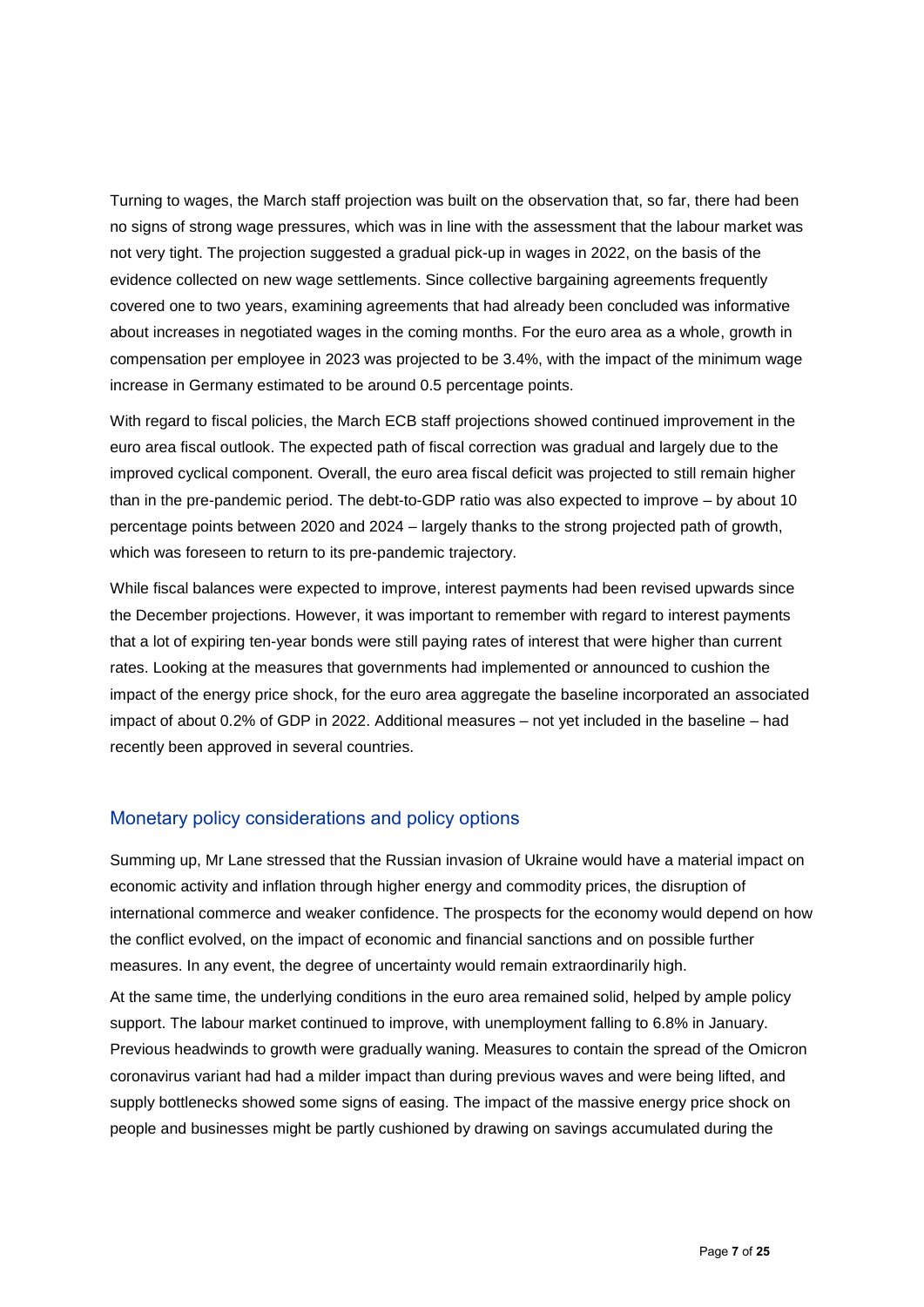Turning to wages, the March staff projection was built on the observation that, so far, there had been no signs of strong wage pressures, which was in line with the assessment that the labour market was not very tight. The projection suggested a gradual pick-up in wages in 2022, on the basis of the evidence collected on new wage settlements. Since collective bargaining agreements frequently covered one to two years, examining agreements that had already been concluded was informative about increases in negotiated wages in the coming months. For the euro area as a whole, growth in compensation per employee in 2023 was projected to be 3.4%, with the impact of the minimum wage increase in Germany estimated to be around 0.5 percentage points.

With regard to fiscal policies, the March ECB staff projections showed continued improvement in the euro area fiscal outlook. The expected path of fiscal correction was gradual and largely due to the improved cyclical component. Overall, the euro area fiscal deficit was projected to still remain higher than in the pre-pandemic period. The debt-to-GDP ratio was also expected to improve – by about 10 percentage points between 2020 and 2024 – largely thanks to the strong projected path of growth, which was foreseen to return to its pre-pandemic trajectory.

While fiscal balances were expected to improve, interest payments had been revised upwards since the December projections. However, it was important to remember with regard to interest payments that a lot of expiring ten-year bonds were still paying rates of interest that were higher than current rates. Looking at the measures that governments had implemented or announced to cushion the impact of the energy price shock, for the euro area aggregate the baseline incorporated an associated impact of about 0.2% of GDP in 2022. Additional measures – not yet included in the baseline – had recently been approved in several countries.

#### Monetary policy considerations and policy options

Summing up, Mr Lane stressed that the Russian invasion of Ukraine would have a material impact on economic activity and inflation through higher energy and commodity prices, the disruption of international commerce and weaker confidence. The prospects for the economy would depend on how the conflict evolved, on the impact of economic and financial sanctions and on possible further measures. In any event, the degree of uncertainty would remain extraordinarily high.

At the same time, the underlying conditions in the euro area remained solid, helped by ample policy support. The labour market continued to improve, with unemployment falling to 6.8% in January. Previous headwinds to growth were gradually waning. Measures to contain the spread of the Omicron coronavirus variant had had a milder impact than during previous waves and were being lifted, and supply bottlenecks showed some signs of easing. The impact of the massive energy price shock on people and businesses might be partly cushioned by drawing on savings accumulated during the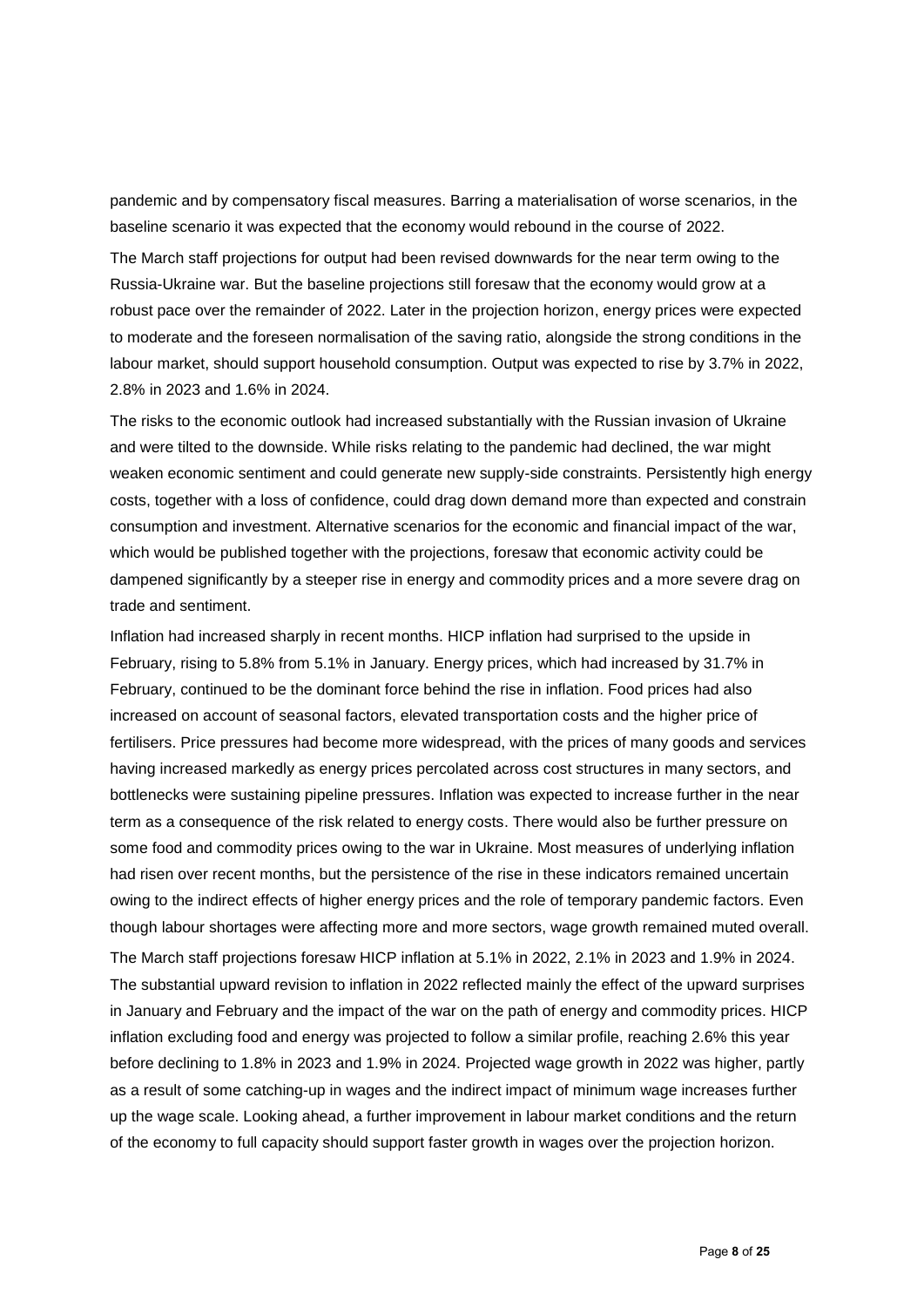pandemic and by compensatory fiscal measures. Barring a materialisation of worse scenarios, in the baseline scenario it was expected that the economy would rebound in the course of 2022.

The March staff projections for output had been revised downwards for the near term owing to the Russia-Ukraine war. But the baseline projections still foresaw that the economy would grow at a robust pace over the remainder of 2022. Later in the projection horizon, energy prices were expected to moderate and the foreseen normalisation of the saving ratio, alongside the strong conditions in the labour market, should support household consumption. Output was expected to rise by 3.7% in 2022, 2.8% in 2023 and 1.6% in 2024.

The risks to the economic outlook had increased substantially with the Russian invasion of Ukraine and were tilted to the downside. While risks relating to the pandemic had declined, the war might weaken economic sentiment and could generate new supply-side constraints. Persistently high energy costs, together with a loss of confidence, could drag down demand more than expected and constrain consumption and investment. Alternative scenarios for the economic and financial impact of the war, which would be published together with the projections, foresaw that economic activity could be dampened significantly by a steeper rise in energy and commodity prices and a more severe drag on trade and sentiment.

Inflation had increased sharply in recent months. HICP inflation had surprised to the upside in February, rising to 5.8% from 5.1% in January. Energy prices, which had increased by 31.7% in February, continued to be the dominant force behind the rise in inflation. Food prices had also increased on account of seasonal factors, elevated transportation costs and the higher price of fertilisers. Price pressures had become more widespread, with the prices of many goods and services having increased markedly as energy prices percolated across cost structures in many sectors, and bottlenecks were sustaining pipeline pressures. Inflation was expected to increase further in the near term as a consequence of the risk related to energy costs. There would also be further pressure on some food and commodity prices owing to the war in Ukraine. Most measures of underlying inflation had risen over recent months, but the persistence of the rise in these indicators remained uncertain owing to the indirect effects of higher energy prices and the role of temporary pandemic factors. Even though labour shortages were affecting more and more sectors, wage growth remained muted overall. The March staff projections foresaw HICP inflation at 5.1% in 2022, 2.1% in 2023 and 1.9% in 2024. The substantial upward revision to inflation in 2022 reflected mainly the effect of the upward surprises in January and February and the impact of the war on the path of energy and commodity prices. HICP inflation excluding food and energy was projected to follow a similar profile, reaching 2.6% this year before declining to 1.8% in 2023 and 1.9% in 2024. Projected wage growth in 2022 was higher, partly as a result of some catching-up in wages and the indirect impact of minimum wage increases further up the wage scale. Looking ahead, a further improvement in labour market conditions and the return of the economy to full capacity should support faster growth in wages over the projection horizon.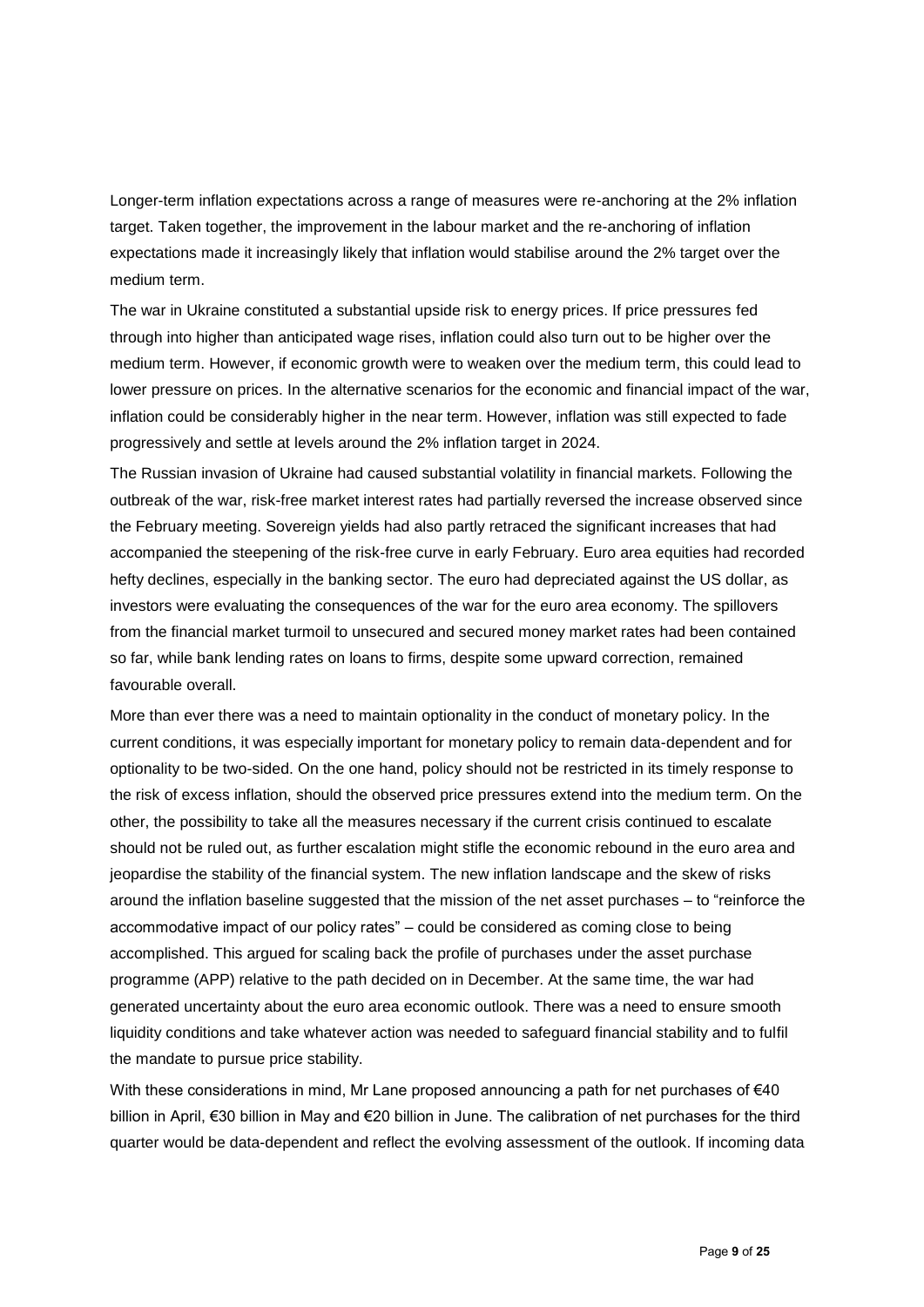Longer-term inflation expectations across a range of measures were re-anchoring at the 2% inflation target. Taken together, the improvement in the labour market and the re-anchoring of inflation expectations made it increasingly likely that inflation would stabilise around the 2% target over the medium term.

The war in Ukraine constituted a substantial upside risk to energy prices. If price pressures fed through into higher than anticipated wage rises, inflation could also turn out to be higher over the medium term. However, if economic growth were to weaken over the medium term, this could lead to lower pressure on prices. In the alternative scenarios for the economic and financial impact of the war, inflation could be considerably higher in the near term. However, inflation was still expected to fade progressively and settle at levels around the 2% inflation target in 2024.

The Russian invasion of Ukraine had caused substantial volatility in financial markets. Following the outbreak of the war, risk-free market interest rates had partially reversed the increase observed since the February meeting. Sovereign yields had also partly retraced the significant increases that had accompanied the steepening of the risk-free curve in early February. Euro area equities had recorded hefty declines, especially in the banking sector. The euro had depreciated against the US dollar, as investors were evaluating the consequences of the war for the euro area economy. The spillovers from the financial market turmoil to unsecured and secured money market rates had been contained so far, while bank lending rates on loans to firms, despite some upward correction, remained favourable overall.

More than ever there was a need to maintain optionality in the conduct of monetary policy. In the current conditions, it was especially important for monetary policy to remain data-dependent and for optionality to be two-sided. On the one hand, policy should not be restricted in its timely response to the risk of excess inflation, should the observed price pressures extend into the medium term. On the other, the possibility to take all the measures necessary if the current crisis continued to escalate should not be ruled out, as further escalation might stifle the economic rebound in the euro area and jeopardise the stability of the financial system. The new inflation landscape and the skew of risks around the inflation baseline suggested that the mission of the net asset purchases – to "reinforce the accommodative impact of our policy rates" – could be considered as coming close to being accomplished. This argued for scaling back the profile of purchases under the asset purchase programme (APP) relative to the path decided on in December. At the same time, the war had generated uncertainty about the euro area economic outlook. There was a need to ensure smooth liquidity conditions and take whatever action was needed to safeguard financial stability and to fulfil the mandate to pursue price stability.

With these considerations in mind, Mr Lane proposed announcing a path for net purchases of €40 billion in April, €30 billion in May and €20 billion in June. The calibration of net purchases for the third quarter would be data-dependent and reflect the evolving assessment of the outlook. If incoming data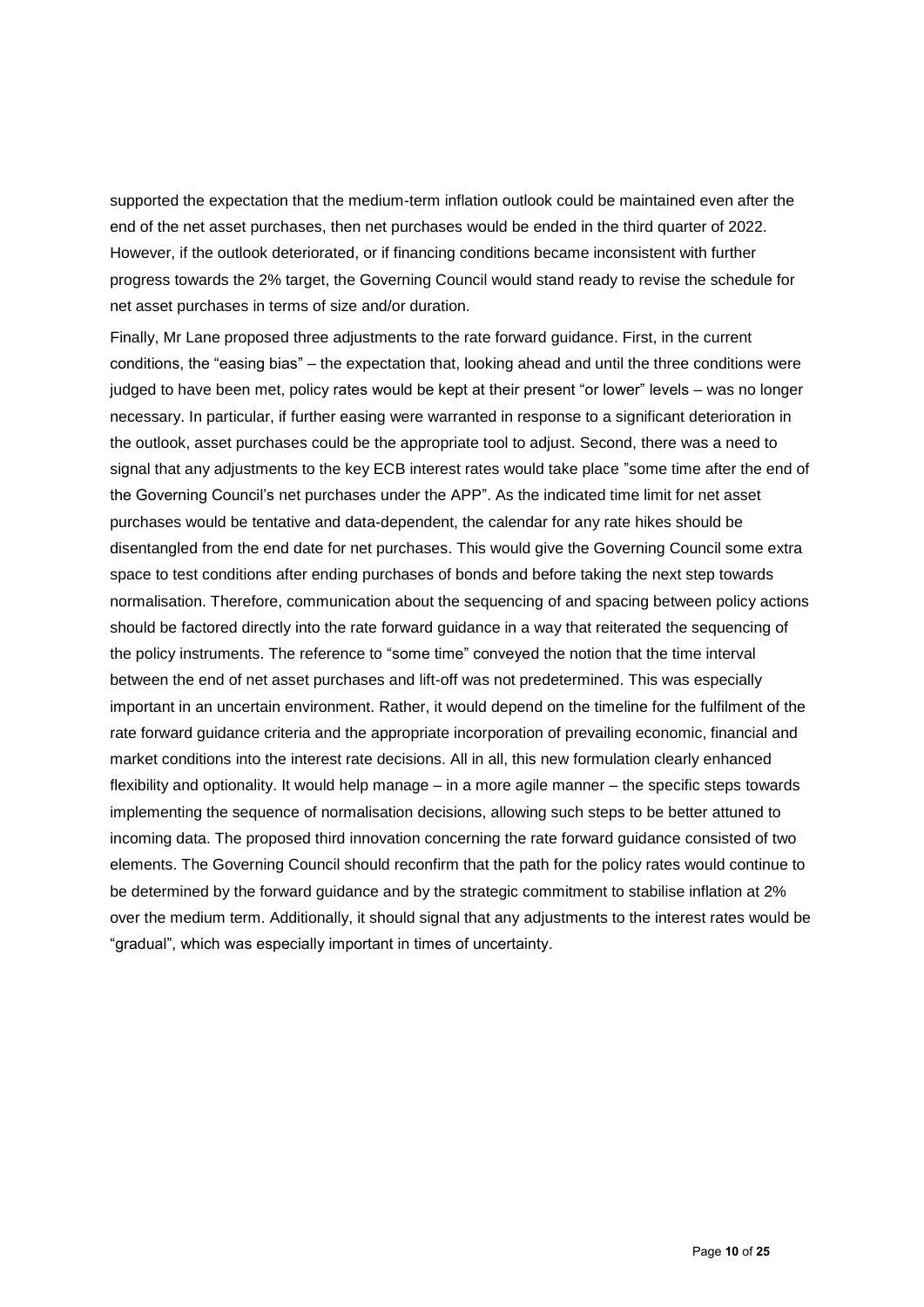supported the expectation that the medium-term inflation outlook could be maintained even after the end of the net asset purchases, then net purchases would be ended in the third quarter of 2022. However, if the outlook deteriorated, or if financing conditions became inconsistent with further progress towards the 2% target, the Governing Council would stand ready to revise the schedule for net asset purchases in terms of size and/or duration.

Finally, Mr Lane proposed three adjustments to the rate forward guidance. First, in the current conditions, the "easing bias" – the expectation that, looking ahead and until the three conditions were judged to have been met, policy rates would be kept at their present "or lower" levels – was no longer necessary. In particular, if further easing were warranted in response to a significant deterioration in the outlook, asset purchases could be the appropriate tool to adjust. Second, there was a need to signal that any adjustments to the key ECB interest rates would take place "some time after the end of the Governing Council's net purchases under the APP". As the indicated time limit for net asset purchases would be tentative and data-dependent, the calendar for any rate hikes should be disentangled from the end date for net purchases. This would give the Governing Council some extra space to test conditions after ending purchases of bonds and before taking the next step towards normalisation. Therefore, communication about the sequencing of and spacing between policy actions should be factored directly into the rate forward guidance in a way that reiterated the sequencing of the policy instruments. The reference to "some time" conveyed the notion that the time interval between the end of net asset purchases and lift-off was not predetermined. This was especially important in an uncertain environment. Rather, it would depend on the timeline for the fulfilment of the rate forward guidance criteria and the appropriate incorporation of prevailing economic, financial and market conditions into the interest rate decisions. All in all, this new formulation clearly enhanced flexibility and optionality. It would help manage – in a more agile manner – the specific steps towards implementing the sequence of normalisation decisions, allowing such steps to be better attuned to incoming data. The proposed third innovation concerning the rate forward guidance consisted of two elements. The Governing Council should reconfirm that the path for the policy rates would continue to be determined by the forward guidance and by the strategic commitment to stabilise inflation at 2% over the medium term. Additionally, it should signal that any adjustments to the interest rates would be "gradual", which was especially important in times of uncertainty.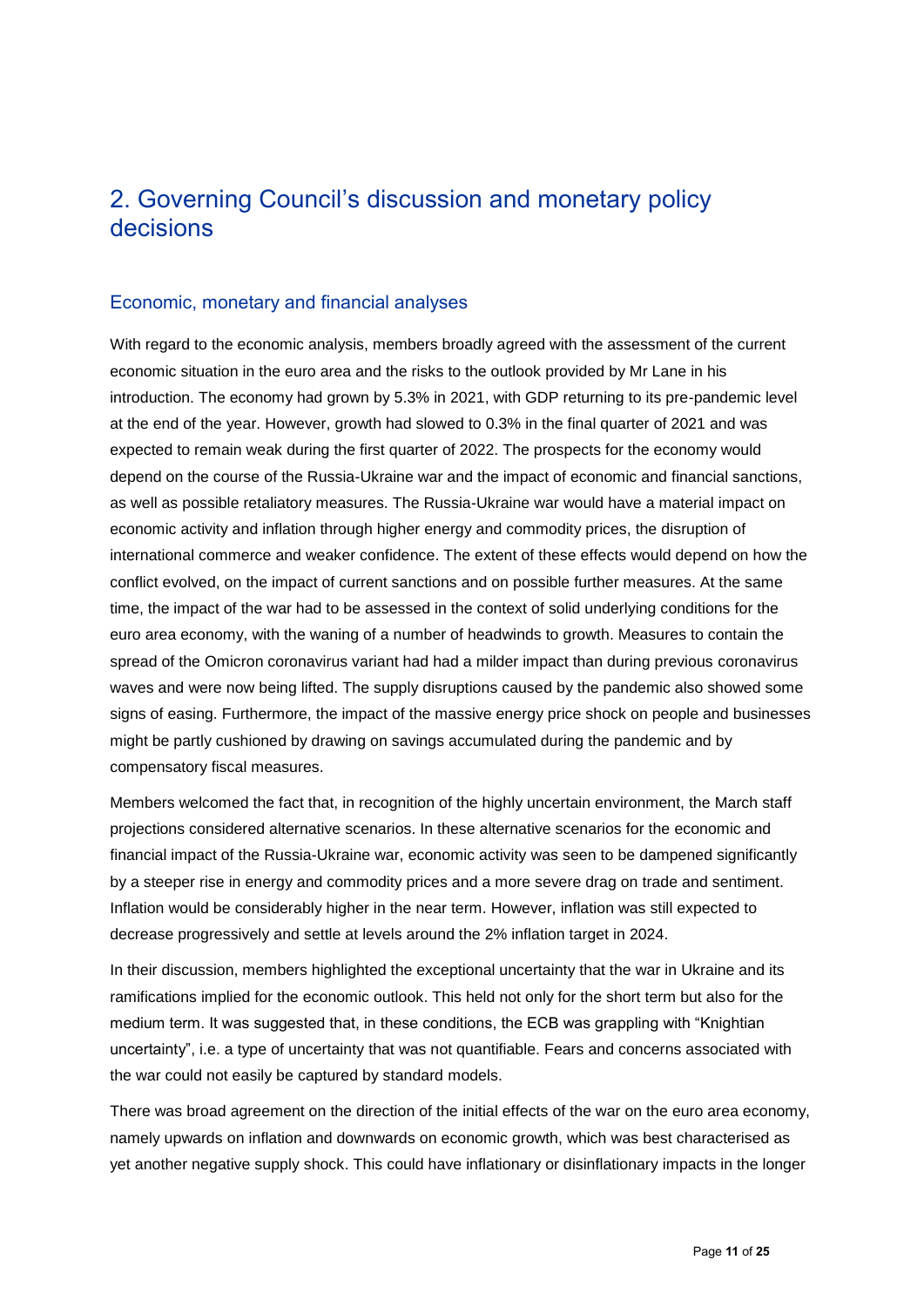# 2. Governing Council's discussion and monetary policy decisions

### Economic, monetary and financial analyses

With regard to the economic analysis, members broadly agreed with the assessment of the current economic situation in the euro area and the risks to the outlook provided by Mr Lane in his introduction. The economy had grown by 5.3% in 2021, with GDP returning to its pre-pandemic level at the end of the year. However, growth had slowed to 0.3% in the final quarter of 2021 and was expected to remain weak during the first quarter of 2022. The prospects for the economy would depend on the course of the Russia-Ukraine war and the impact of economic and financial sanctions, as well as possible retaliatory measures. The Russia-Ukraine war would have a material impact on economic activity and inflation through higher energy and commodity prices, the disruption of international commerce and weaker confidence. The extent of these effects would depend on how the conflict evolved, on the impact of current sanctions and on possible further measures. At the same time, the impact of the war had to be assessed in the context of solid underlying conditions for the euro area economy, with the waning of a number of headwinds to growth. Measures to contain the spread of the Omicron coronavirus variant had had a milder impact than during previous coronavirus waves and were now being lifted. The supply disruptions caused by the pandemic also showed some signs of easing. Furthermore, the impact of the massive energy price shock on people and businesses might be partly cushioned by drawing on savings accumulated during the pandemic and by compensatory fiscal measures.

Members welcomed the fact that, in recognition of the highly uncertain environment, the March staff projections considered alternative scenarios. In these alternative scenarios for the economic and financial impact of the Russia-Ukraine war, economic activity was seen to be dampened significantly by a steeper rise in energy and commodity prices and a more severe drag on trade and sentiment. Inflation would be considerably higher in the near term. However, inflation was still expected to decrease progressively and settle at levels around the 2% inflation target in 2024.

In their discussion, members highlighted the exceptional uncertainty that the war in Ukraine and its ramifications implied for the economic outlook. This held not only for the short term but also for the medium term. It was suggested that, in these conditions, the ECB was grappling with "Knightian uncertainty", i.e. a type of uncertainty that was not quantifiable. Fears and concerns associated with the war could not easily be captured by standard models.

There was broad agreement on the direction of the initial effects of the war on the euro area economy, namely upwards on inflation and downwards on economic growth, which was best characterised as yet another negative supply shock. This could have inflationary or disinflationary impacts in the longer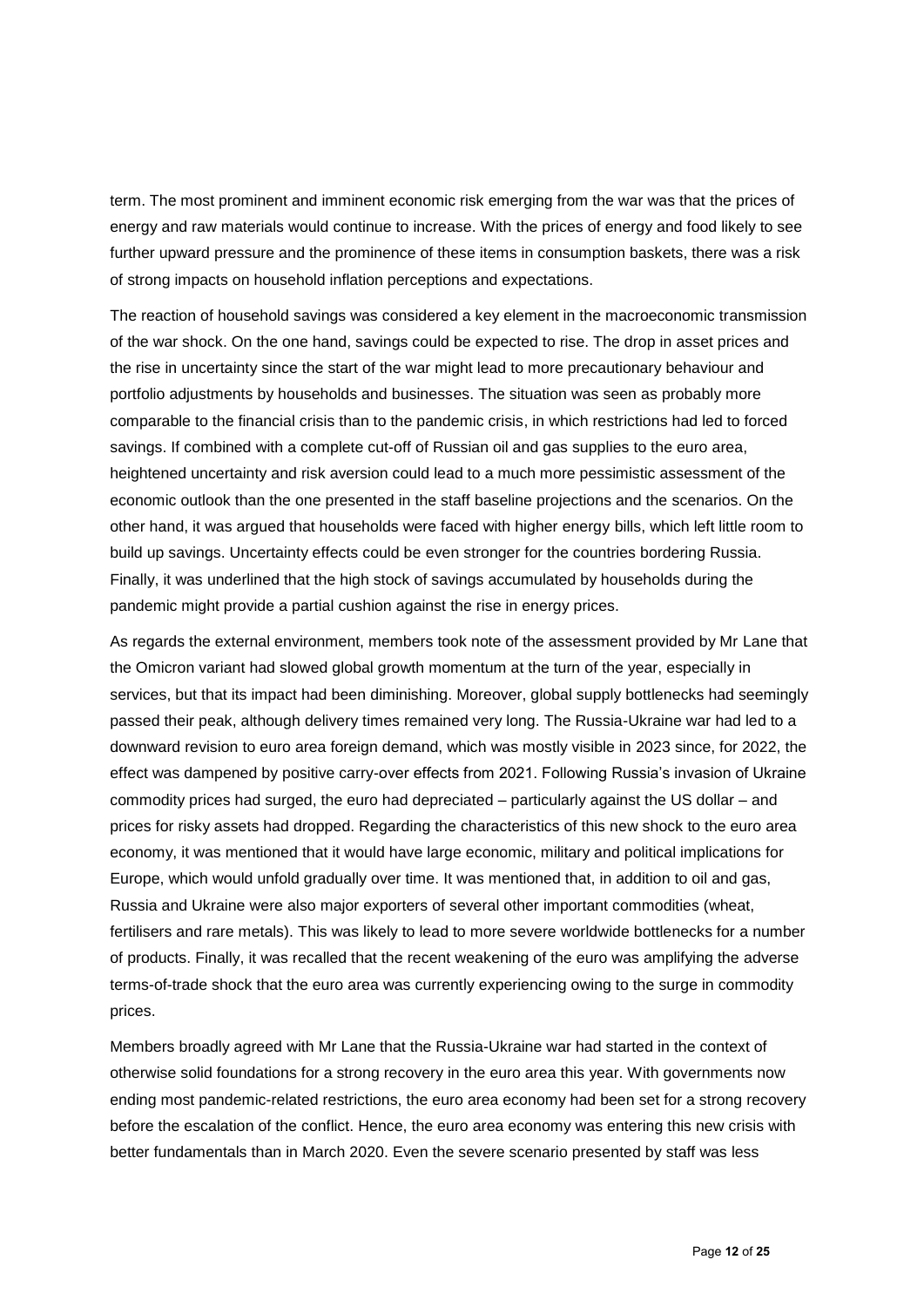term. The most prominent and imminent economic risk emerging from the war was that the prices of energy and raw materials would continue to increase. With the prices of energy and food likely to see further upward pressure and the prominence of these items in consumption baskets, there was a risk of strong impacts on household inflation perceptions and expectations.

The reaction of household savings was considered a key element in the macroeconomic transmission of the war shock. On the one hand, savings could be expected to rise. The drop in asset prices and the rise in uncertainty since the start of the war might lead to more precautionary behaviour and portfolio adjustments by households and businesses. The situation was seen as probably more comparable to the financial crisis than to the pandemic crisis, in which restrictions had led to forced savings. If combined with a complete cut-off of Russian oil and gas supplies to the euro area, heightened uncertainty and risk aversion could lead to a much more pessimistic assessment of the economic outlook than the one presented in the staff baseline projections and the scenarios. On the other hand, it was argued that households were faced with higher energy bills, which left little room to build up savings. Uncertainty effects could be even stronger for the countries bordering Russia. Finally, it was underlined that the high stock of savings accumulated by households during the pandemic might provide a partial cushion against the rise in energy prices.

As regards the external environment, members took note of the assessment provided by Mr Lane that the Omicron variant had slowed global growth momentum at the turn of the year, especially in services, but that its impact had been diminishing. Moreover, global supply bottlenecks had seemingly passed their peak, although delivery times remained very long. The Russia-Ukraine war had led to a downward revision to euro area foreign demand, which was mostly visible in 2023 since, for 2022, the effect was dampened by positive carry-over effects from 2021. Following Russia's invasion of Ukraine commodity prices had surged, the euro had depreciated – particularly against the US dollar – and prices for risky assets had dropped. Regarding the characteristics of this new shock to the euro area economy, it was mentioned that it would have large economic, military and political implications for Europe, which would unfold gradually over time. It was mentioned that, in addition to oil and gas, Russia and Ukraine were also major exporters of several other important commodities (wheat, fertilisers and rare metals). This was likely to lead to more severe worldwide bottlenecks for a number of products. Finally, it was recalled that the recent weakening of the euro was amplifying the adverse terms-of-trade shock that the euro area was currently experiencing owing to the surge in commodity prices.

Members broadly agreed with Mr Lane that the Russia-Ukraine war had started in the context of otherwise solid foundations for a strong recovery in the euro area this year. With governments now ending most pandemic-related restrictions, the euro area economy had been set for a strong recovery before the escalation of the conflict. Hence, the euro area economy was entering this new crisis with better fundamentals than in March 2020. Even the severe scenario presented by staff was less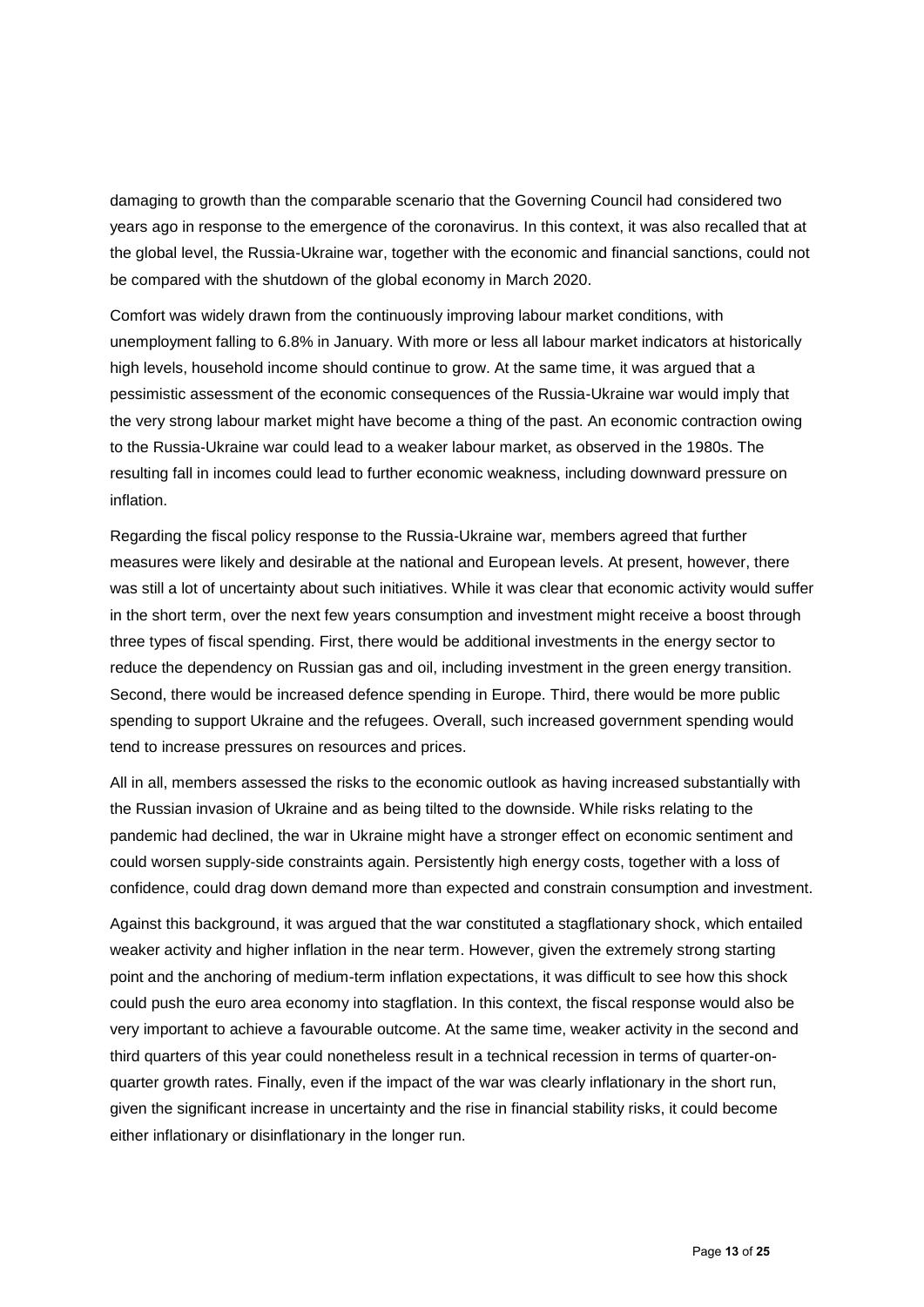damaging to growth than the comparable scenario that the Governing Council had considered two years ago in response to the emergence of the coronavirus. In this context, it was also recalled that at the global level, the Russia-Ukraine war, together with the economic and financial sanctions, could not be compared with the shutdown of the global economy in March 2020.

Comfort was widely drawn from the continuously improving labour market conditions, with unemployment falling to 6.8% in January. With more or less all labour market indicators at historically high levels, household income should continue to grow. At the same time, it was argued that a pessimistic assessment of the economic consequences of the Russia-Ukraine war would imply that the very strong labour market might have become a thing of the past. An economic contraction owing to the Russia-Ukraine war could lead to a weaker labour market, as observed in the 1980s. The resulting fall in incomes could lead to further economic weakness, including downward pressure on inflation.

Regarding the fiscal policy response to the Russia-Ukraine war, members agreed that further measures were likely and desirable at the national and European levels. At present, however, there was still a lot of uncertainty about such initiatives. While it was clear that economic activity would suffer in the short term, over the next few years consumption and investment might receive a boost through three types of fiscal spending. First, there would be additional investments in the energy sector to reduce the dependency on Russian gas and oil, including investment in the green energy transition. Second, there would be increased defence spending in Europe. Third, there would be more public spending to support Ukraine and the refugees. Overall, such increased government spending would tend to increase pressures on resources and prices.

All in all, members assessed the risks to the economic outlook as having increased substantially with the Russian invasion of Ukraine and as being tilted to the downside. While risks relating to the pandemic had declined, the war in Ukraine might have a stronger effect on economic sentiment and could worsen supply-side constraints again. Persistently high energy costs, together with a loss of confidence, could drag down demand more than expected and constrain consumption and investment.

Against this background, it was argued that the war constituted a stagflationary shock, which entailed weaker activity and higher inflation in the near term. However, given the extremely strong starting point and the anchoring of medium-term inflation expectations, it was difficult to see how this shock could push the euro area economy into stagflation. In this context, the fiscal response would also be very important to achieve a favourable outcome. At the same time, weaker activity in the second and third quarters of this year could nonetheless result in a technical recession in terms of quarter-onquarter growth rates. Finally, even if the impact of the war was clearly inflationary in the short run, given the significant increase in uncertainty and the rise in financial stability risks, it could become either inflationary or disinflationary in the longer run.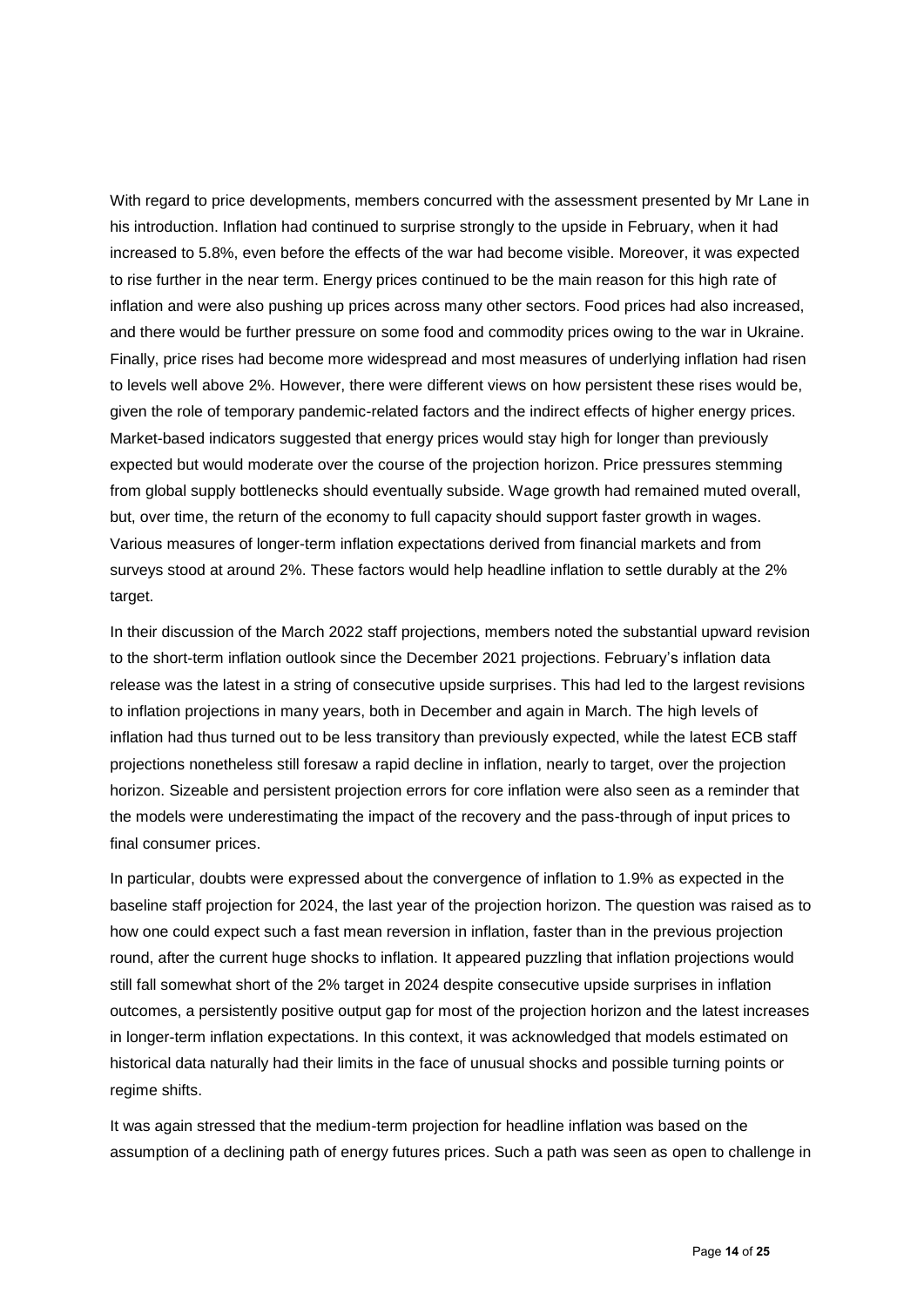With regard to price developments, members concurred with the assessment presented by Mr Lane in his introduction. Inflation had continued to surprise strongly to the upside in February, when it had increased to 5.8%, even before the effects of the war had become visible. Moreover, it was expected to rise further in the near term. Energy prices continued to be the main reason for this high rate of inflation and were also pushing up prices across many other sectors. Food prices had also increased, and there would be further pressure on some food and commodity prices owing to the war in Ukraine. Finally, price rises had become more widespread and most measures of underlying inflation had risen to levels well above 2%. However, there were different views on how persistent these rises would be, given the role of temporary pandemic-related factors and the indirect effects of higher energy prices. Market-based indicators suggested that energy prices would stay high for longer than previously expected but would moderate over the course of the projection horizon. Price pressures stemming from global supply bottlenecks should eventually subside. Wage growth had remained muted overall, but, over time, the return of the economy to full capacity should support faster growth in wages. Various measures of longer-term inflation expectations derived from financial markets and from surveys stood at around 2%. These factors would help headline inflation to settle durably at the 2% target.

In their discussion of the March 2022 staff projections, members noted the substantial upward revision to the short-term inflation outlook since the December 2021 projections. February's inflation data release was the latest in a string of consecutive upside surprises. This had led to the largest revisions to inflation projections in many years, both in December and again in March. The high levels of inflation had thus turned out to be less transitory than previously expected, while the latest ECB staff projections nonetheless still foresaw a rapid decline in inflation, nearly to target, over the projection horizon. Sizeable and persistent projection errors for core inflation were also seen as a reminder that the models were underestimating the impact of the recovery and the pass-through of input prices to final consumer prices.

In particular, doubts were expressed about the convergence of inflation to 1.9% as expected in the baseline staff projection for 2024, the last year of the projection horizon. The question was raised as to how one could expect such a fast mean reversion in inflation, faster than in the previous projection round, after the current huge shocks to inflation. It appeared puzzling that inflation projections would still fall somewhat short of the 2% target in 2024 despite consecutive upside surprises in inflation outcomes, a persistently positive output gap for most of the projection horizon and the latest increases in longer-term inflation expectations. In this context, it was acknowledged that models estimated on historical data naturally had their limits in the face of unusual shocks and possible turning points or regime shifts.

It was again stressed that the medium-term projection for headline inflation was based on the assumption of a declining path of energy futures prices. Such a path was seen as open to challenge in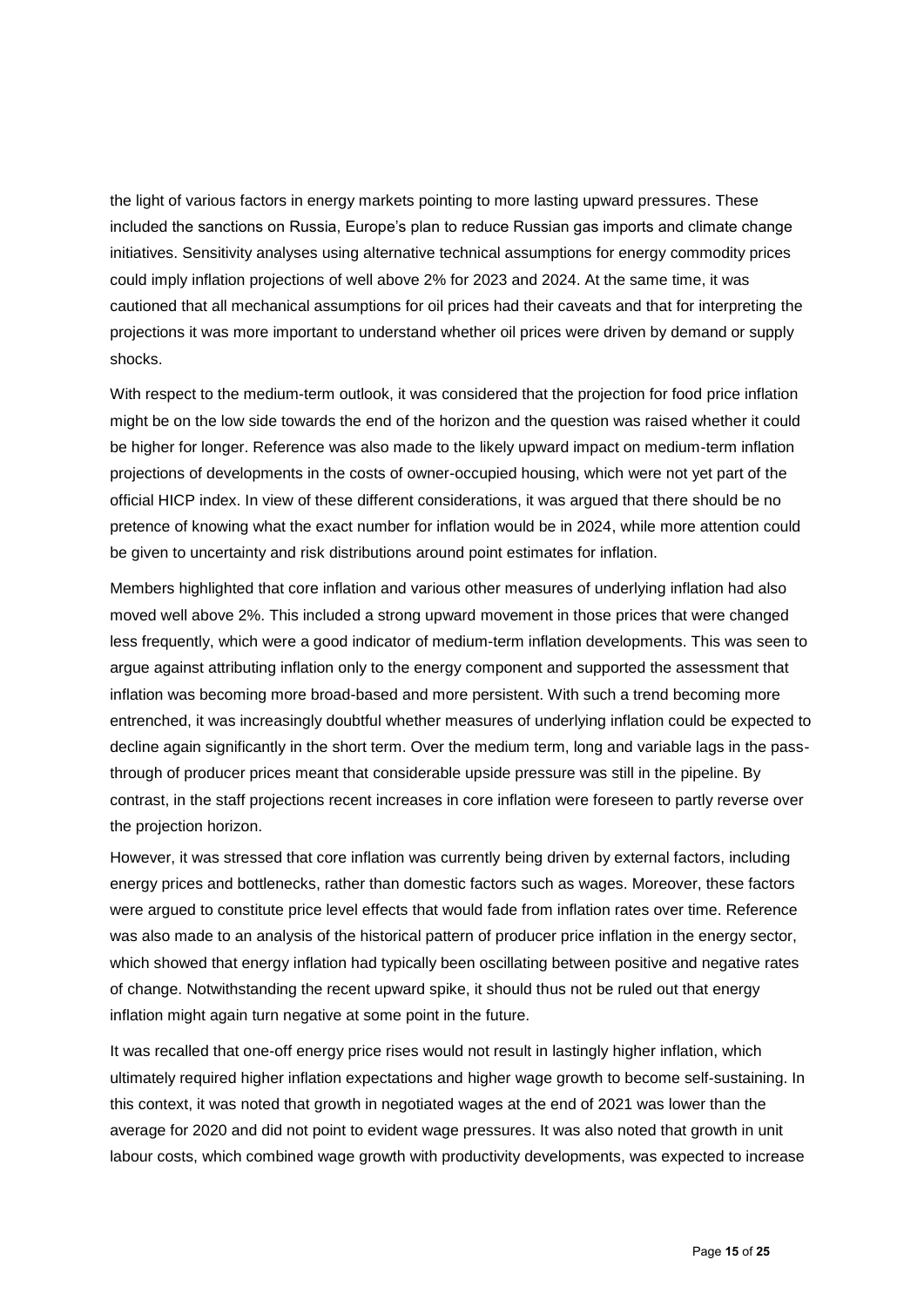the light of various factors in energy markets pointing to more lasting upward pressures. These included the sanctions on Russia, Europe's plan to reduce Russian gas imports and climate change initiatives. Sensitivity analyses using alternative technical assumptions for energy commodity prices could imply inflation projections of well above 2% for 2023 and 2024. At the same time, it was cautioned that all mechanical assumptions for oil prices had their caveats and that for interpreting the projections it was more important to understand whether oil prices were driven by demand or supply shocks.

With respect to the medium-term outlook, it was considered that the projection for food price inflation might be on the low side towards the end of the horizon and the question was raised whether it could be higher for longer. Reference was also made to the likely upward impact on medium-term inflation projections of developments in the costs of owner-occupied housing, which were not yet part of the official HICP index. In view of these different considerations, it was argued that there should be no pretence of knowing what the exact number for inflation would be in 2024, while more attention could be given to uncertainty and risk distributions around point estimates for inflation.

Members highlighted that core inflation and various other measures of underlying inflation had also moved well above 2%. This included a strong upward movement in those prices that were changed less frequently, which were a good indicator of medium-term inflation developments. This was seen to argue against attributing inflation only to the energy component and supported the assessment that inflation was becoming more broad-based and more persistent. With such a trend becoming more entrenched, it was increasingly doubtful whether measures of underlying inflation could be expected to decline again significantly in the short term. Over the medium term, long and variable lags in the passthrough of producer prices meant that considerable upside pressure was still in the pipeline. By contrast, in the staff projections recent increases in core inflation were foreseen to partly reverse over the projection horizon.

However, it was stressed that core inflation was currently being driven by external factors, including energy prices and bottlenecks, rather than domestic factors such as wages. Moreover, these factors were argued to constitute price level effects that would fade from inflation rates over time. Reference was also made to an analysis of the historical pattern of producer price inflation in the energy sector, which showed that energy inflation had typically been oscillating between positive and negative rates of change. Notwithstanding the recent upward spike, it should thus not be ruled out that energy inflation might again turn negative at some point in the future.

It was recalled that one-off energy price rises would not result in lastingly higher inflation, which ultimately required higher inflation expectations and higher wage growth to become self-sustaining. In this context, it was noted that growth in negotiated wages at the end of 2021 was lower than the average for 2020 and did not point to evident wage pressures. It was also noted that growth in unit labour costs, which combined wage growth with productivity developments, was expected to increase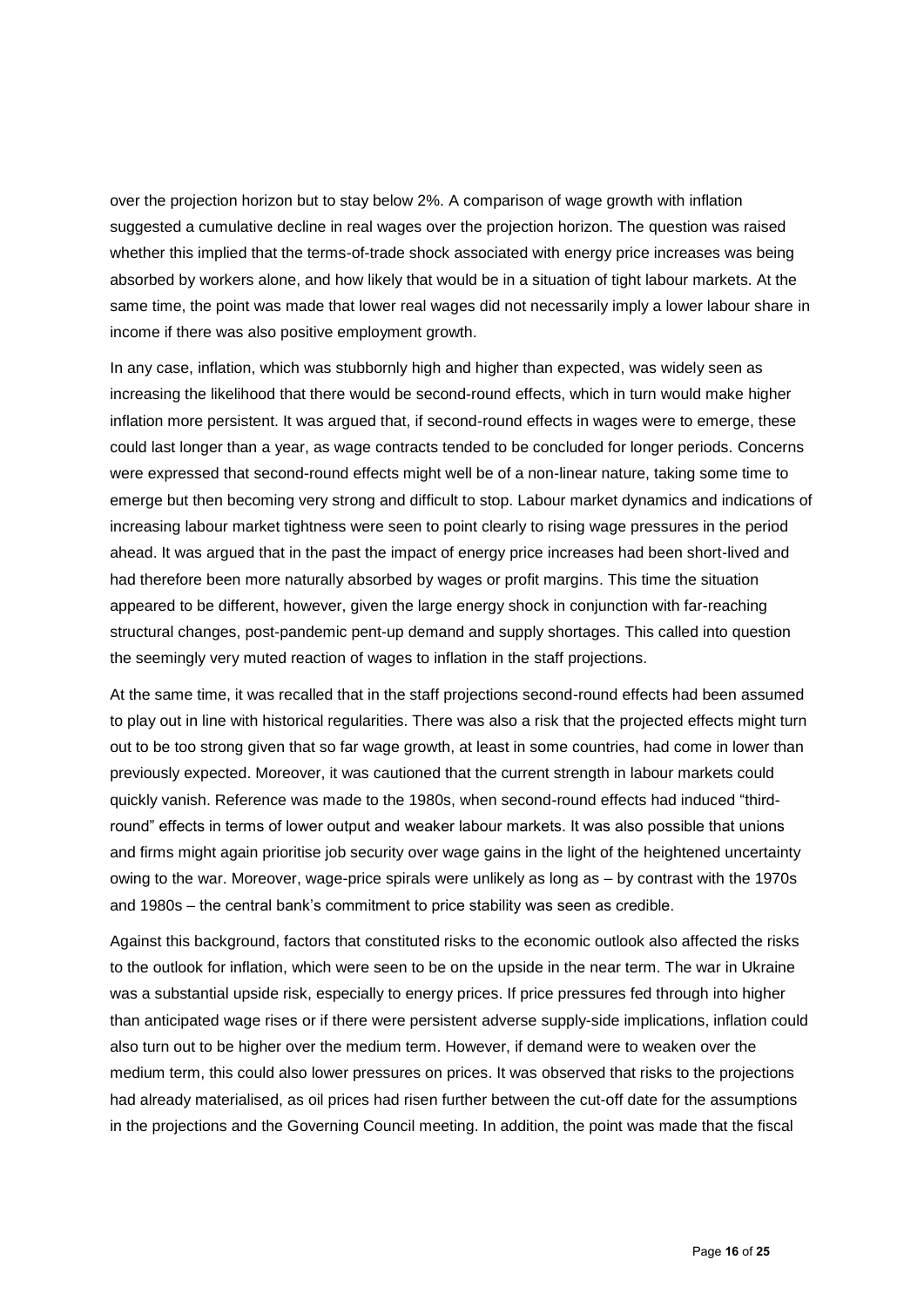over the projection horizon but to stay below 2%. A comparison of wage growth with inflation suggested a cumulative decline in real wages over the projection horizon. The question was raised whether this implied that the terms-of-trade shock associated with energy price increases was being absorbed by workers alone, and how likely that would be in a situation of tight labour markets. At the same time, the point was made that lower real wages did not necessarily imply a lower labour share in income if there was also positive employment growth.

In any case, inflation, which was stubbornly high and higher than expected, was widely seen as increasing the likelihood that there would be second-round effects, which in turn would make higher inflation more persistent. It was argued that, if second-round effects in wages were to emerge, these could last longer than a year, as wage contracts tended to be concluded for longer periods. Concerns were expressed that second-round effects might well be of a non-linear nature, taking some time to emerge but then becoming very strong and difficult to stop. Labour market dynamics and indications of increasing labour market tightness were seen to point clearly to rising wage pressures in the period ahead. It was argued that in the past the impact of energy price increases had been short-lived and had therefore been more naturally absorbed by wages or profit margins. This time the situation appeared to be different, however, given the large energy shock in conjunction with far-reaching structural changes, post-pandemic pent-up demand and supply shortages. This called into question the seemingly very muted reaction of wages to inflation in the staff projections.

At the same time, it was recalled that in the staff projections second-round effects had been assumed to play out in line with historical regularities. There was also a risk that the projected effects might turn out to be too strong given that so far wage growth, at least in some countries, had come in lower than previously expected. Moreover, it was cautioned that the current strength in labour markets could quickly vanish. Reference was made to the 1980s, when second-round effects had induced "thirdround" effects in terms of lower output and weaker labour markets. It was also possible that unions and firms might again prioritise job security over wage gains in the light of the heightened uncertainty owing to the war. Moreover, wage-price spirals were unlikely as long as – by contrast with the 1970s and 1980s – the central bank's commitment to price stability was seen as credible.

Against this background, factors that constituted risks to the economic outlook also affected the risks to the outlook for inflation, which were seen to be on the upside in the near term. The war in Ukraine was a substantial upside risk, especially to energy prices. If price pressures fed through into higher than anticipated wage rises or if there were persistent adverse supply-side implications, inflation could also turn out to be higher over the medium term. However, if demand were to weaken over the medium term, this could also lower pressures on prices. It was observed that risks to the projections had already materialised, as oil prices had risen further between the cut-off date for the assumptions in the projections and the Governing Council meeting. In addition, the point was made that the fiscal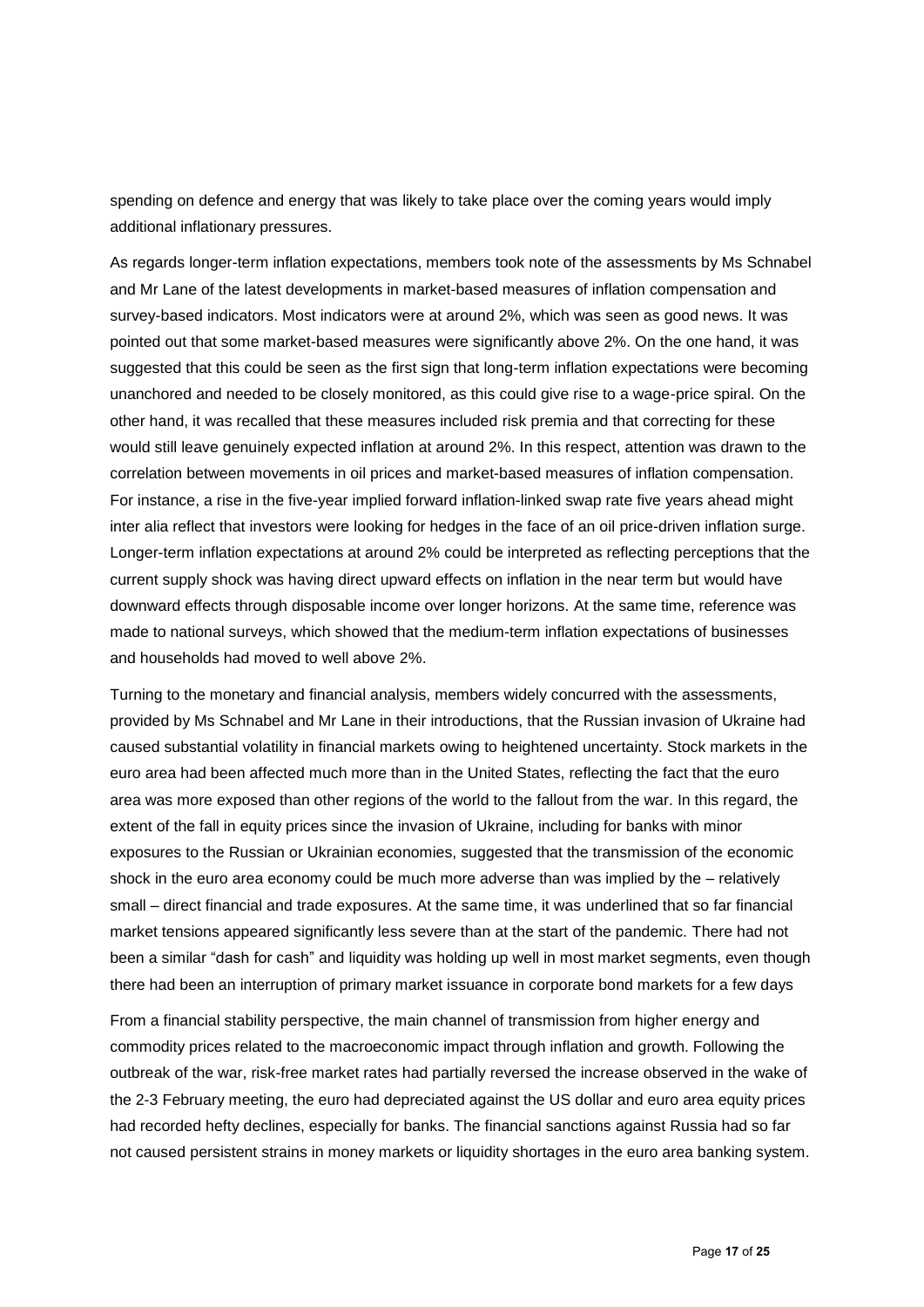spending on defence and energy that was likely to take place over the coming years would imply additional inflationary pressures.

As regards longer-term inflation expectations, members took note of the assessments by Ms Schnabel and Mr Lane of the latest developments in market-based measures of inflation compensation and survey-based indicators. Most indicators were at around 2%, which was seen as good news. It was pointed out that some market-based measures were significantly above 2%. On the one hand, it was suggested that this could be seen as the first sign that long-term inflation expectations were becoming unanchored and needed to be closely monitored, as this could give rise to a wage-price spiral. On the other hand, it was recalled that these measures included risk premia and that correcting for these would still leave genuinely expected inflation at around 2%. In this respect, attention was drawn to the correlation between movements in oil prices and market-based measures of inflation compensation. For instance, a rise in the five-year implied forward inflation-linked swap rate five years ahead might inter alia reflect that investors were looking for hedges in the face of an oil price-driven inflation surge. Longer-term inflation expectations at around 2% could be interpreted as reflecting perceptions that the current supply shock was having direct upward effects on inflation in the near term but would have downward effects through disposable income over longer horizons. At the same time, reference was made to national surveys, which showed that the medium-term inflation expectations of businesses and households had moved to well above 2%.

Turning to the monetary and financial analysis, members widely concurred with the assessments, provided by Ms Schnabel and Mr Lane in their introductions, that the Russian invasion of Ukraine had caused substantial volatility in financial markets owing to heightened uncertainty. Stock markets in the euro area had been affected much more than in the United States, reflecting the fact that the euro area was more exposed than other regions of the world to the fallout from the war. In this regard, the extent of the fall in equity prices since the invasion of Ukraine, including for banks with minor exposures to the Russian or Ukrainian economies, suggested that the transmission of the economic shock in the euro area economy could be much more adverse than was implied by the – relatively small – direct financial and trade exposures. At the same time, it was underlined that so far financial market tensions appeared significantly less severe than at the start of the pandemic. There had not been a similar "dash for cash" and liquidity was holding up well in most market segments, even though there had been an interruption of primary market issuance in corporate bond markets for a few days

From a financial stability perspective, the main channel of transmission from higher energy and commodity prices related to the macroeconomic impact through inflation and growth. Following the outbreak of the war, risk-free market rates had partially reversed the increase observed in the wake of the 2-3 February meeting, the euro had depreciated against the US dollar and euro area equity prices had recorded hefty declines, especially for banks. The financial sanctions against Russia had so far not caused persistent strains in money markets or liquidity shortages in the euro area banking system.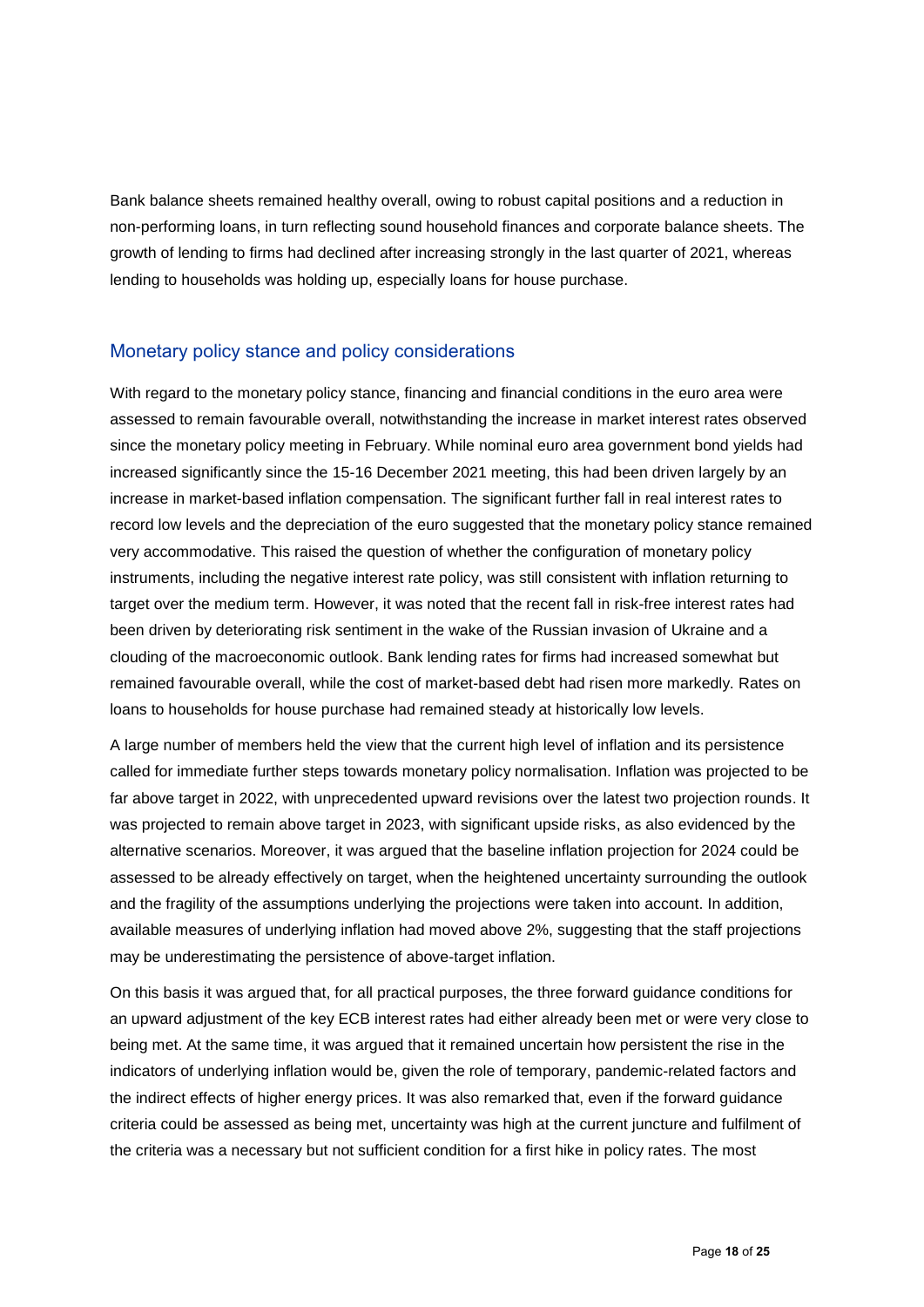Bank balance sheets remained healthy overall, owing to robust capital positions and a reduction in non-performing loans, in turn reflecting sound household finances and corporate balance sheets. The growth of lending to firms had declined after increasing strongly in the last quarter of 2021, whereas lending to households was holding up, especially loans for house purchase.

### Monetary policy stance and policy considerations

With regard to the monetary policy stance, financing and financial conditions in the euro area were assessed to remain favourable overall, notwithstanding the increase in market interest rates observed since the monetary policy meeting in February. While nominal euro area government bond yields had increased significantly since the 15-16 December 2021 meeting, this had been driven largely by an increase in market-based inflation compensation. The significant further fall in real interest rates to record low levels and the depreciation of the euro suggested that the monetary policy stance remained very accommodative. This raised the question of whether the configuration of monetary policy instruments, including the negative interest rate policy, was still consistent with inflation returning to target over the medium term. However, it was noted that the recent fall in risk-free interest rates had been driven by deteriorating risk sentiment in the wake of the Russian invasion of Ukraine and a clouding of the macroeconomic outlook. Bank lending rates for firms had increased somewhat but remained favourable overall, while the cost of market-based debt had risen more markedly. Rates on loans to households for house purchase had remained steady at historically low levels.

A large number of members held the view that the current high level of inflation and its persistence called for immediate further steps towards monetary policy normalisation. Inflation was projected to be far above target in 2022, with unprecedented upward revisions over the latest two projection rounds. It was projected to remain above target in 2023, with significant upside risks, as also evidenced by the alternative scenarios. Moreover, it was argued that the baseline inflation projection for 2024 could be assessed to be already effectively on target, when the heightened uncertainty surrounding the outlook and the fragility of the assumptions underlying the projections were taken into account. In addition, available measures of underlying inflation had moved above 2%, suggesting that the staff projections may be underestimating the persistence of above-target inflation.

On this basis it was argued that, for all practical purposes, the three forward guidance conditions for an upward adjustment of the key ECB interest rates had either already been met or were very close to being met. At the same time, it was argued that it remained uncertain how persistent the rise in the indicators of underlying inflation would be, given the role of temporary, pandemic-related factors and the indirect effects of higher energy prices. It was also remarked that, even if the forward guidance criteria could be assessed as being met, uncertainty was high at the current juncture and fulfilment of the criteria was a necessary but not sufficient condition for a first hike in policy rates. The most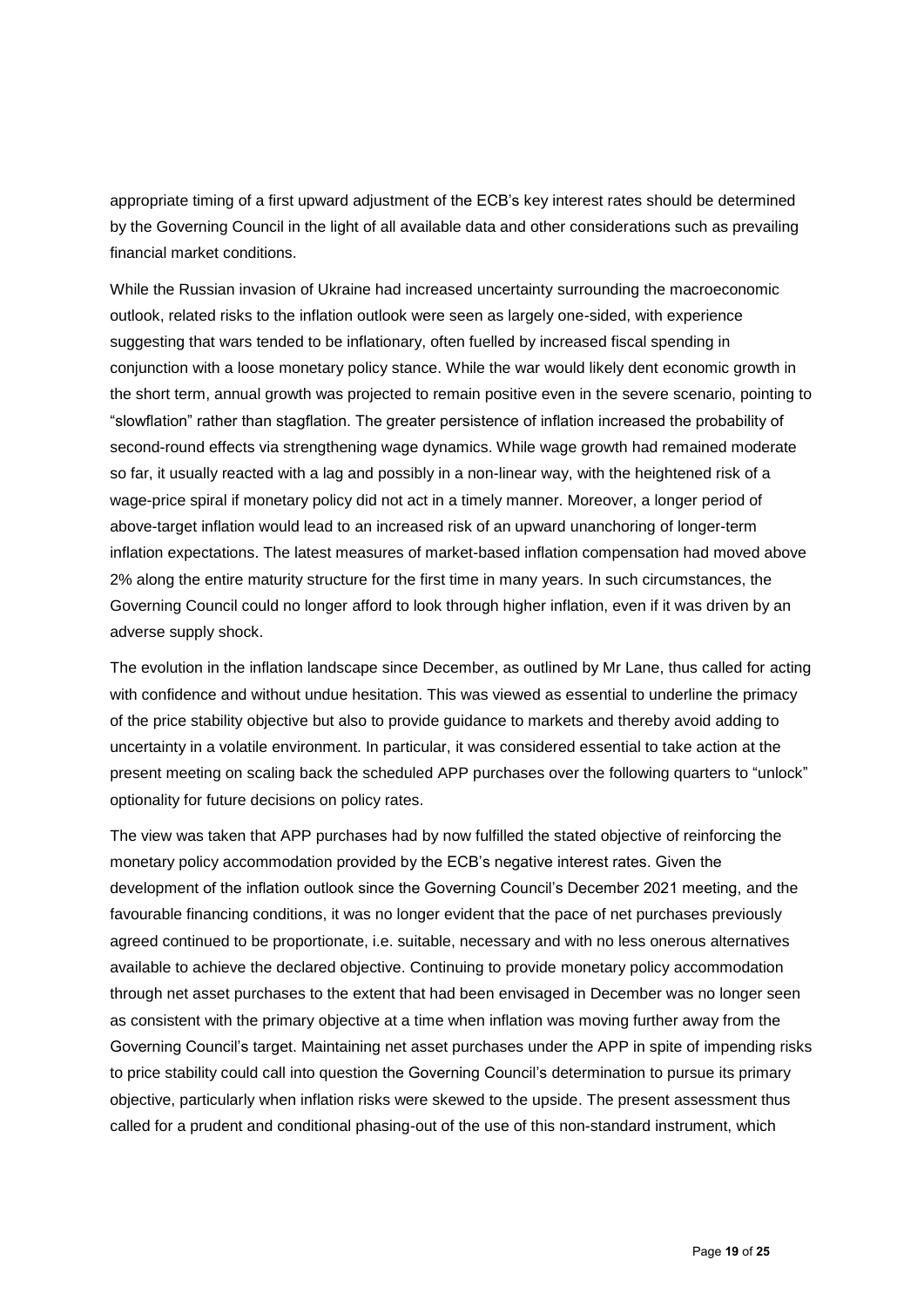appropriate timing of a first upward adjustment of the ECB's key interest rates should be determined by the Governing Council in the light of all available data and other considerations such as prevailing financial market conditions.

While the Russian invasion of Ukraine had increased uncertainty surrounding the macroeconomic outlook, related risks to the inflation outlook were seen as largely one-sided, with experience suggesting that wars tended to be inflationary, often fuelled by increased fiscal spending in conjunction with a loose monetary policy stance. While the war would likely dent economic growth in the short term, annual growth was projected to remain positive even in the severe scenario, pointing to "slowflation" rather than stagflation. The greater persistence of inflation increased the probability of second-round effects via strengthening wage dynamics. While wage growth had remained moderate so far, it usually reacted with a lag and possibly in a non-linear way, with the heightened risk of a wage-price spiral if monetary policy did not act in a timely manner. Moreover, a longer period of above-target inflation would lead to an increased risk of an upward unanchoring of longer-term inflation expectations. The latest measures of market-based inflation compensation had moved above 2% along the entire maturity structure for the first time in many years. In such circumstances, the Governing Council could no longer afford to look through higher inflation, even if it was driven by an adverse supply shock.

The evolution in the inflation landscape since December, as outlined by Mr Lane, thus called for acting with confidence and without undue hesitation. This was viewed as essential to underline the primacy of the price stability objective but also to provide guidance to markets and thereby avoid adding to uncertainty in a volatile environment. In particular, it was considered essential to take action at the present meeting on scaling back the scheduled APP purchases over the following quarters to "unlock" optionality for future decisions on policy rates.

The view was taken that APP purchases had by now fulfilled the stated objective of reinforcing the monetary policy accommodation provided by the ECB's negative interest rates. Given the development of the inflation outlook since the Governing Council's December 2021 meeting, and the favourable financing conditions, it was no longer evident that the pace of net purchases previously agreed continued to be proportionate, i.e. suitable, necessary and with no less onerous alternatives available to achieve the declared objective. Continuing to provide monetary policy accommodation through net asset purchases to the extent that had been envisaged in December was no longer seen as consistent with the primary objective at a time when inflation was moving further away from the Governing Council's target. Maintaining net asset purchases under the APP in spite of impending risks to price stability could call into question the Governing Council's determination to pursue its primary objective, particularly when inflation risks were skewed to the upside. The present assessment thus called for a prudent and conditional phasing-out of the use of this non-standard instrument, which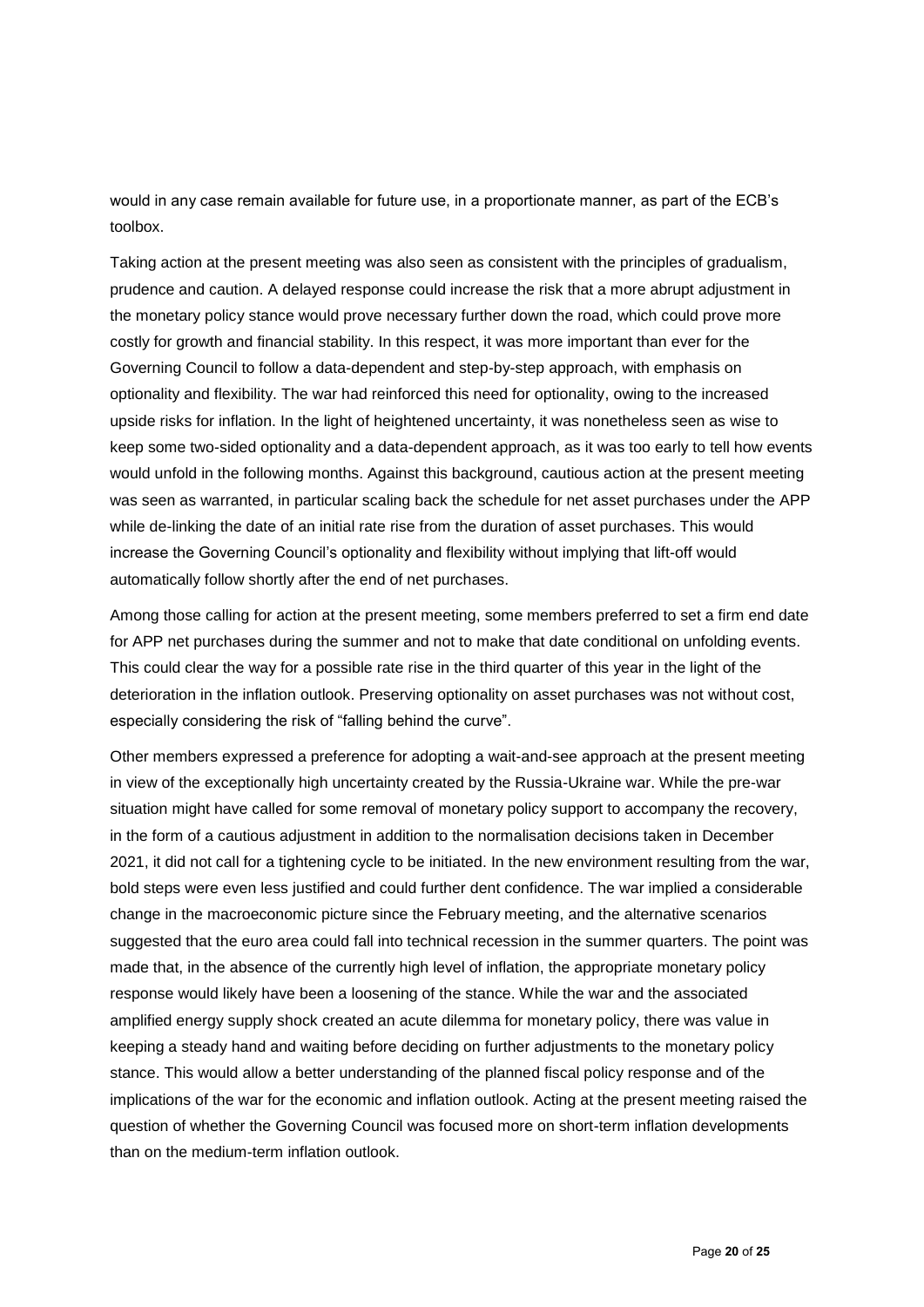would in any case remain available for future use, in a proportionate manner, as part of the ECB's toolbox.

Taking action at the present meeting was also seen as consistent with the principles of gradualism, prudence and caution. A delayed response could increase the risk that a more abrupt adjustment in the monetary policy stance would prove necessary further down the road, which could prove more costly for growth and financial stability. In this respect, it was more important than ever for the Governing Council to follow a data-dependent and step-by-step approach, with emphasis on optionality and flexibility. The war had reinforced this need for optionality, owing to the increased upside risks for inflation. In the light of heightened uncertainty, it was nonetheless seen as wise to keep some two-sided optionality and a data-dependent approach, as it was too early to tell how events would unfold in the following months. Against this background, cautious action at the present meeting was seen as warranted, in particular scaling back the schedule for net asset purchases under the APP while de-linking the date of an initial rate rise from the duration of asset purchases. This would increase the Governing Council's optionality and flexibility without implying that lift-off would automatically follow shortly after the end of net purchases.

Among those calling for action at the present meeting, some members preferred to set a firm end date for APP net purchases during the summer and not to make that date conditional on unfolding events. This could clear the way for a possible rate rise in the third quarter of this year in the light of the deterioration in the inflation outlook. Preserving optionality on asset purchases was not without cost, especially considering the risk of "falling behind the curve".

Other members expressed a preference for adopting a wait-and-see approach at the present meeting in view of the exceptionally high uncertainty created by the Russia-Ukraine war. While the pre-war situation might have called for some removal of monetary policy support to accompany the recovery, in the form of a cautious adjustment in addition to the normalisation decisions taken in December 2021, it did not call for a tightening cycle to be initiated. In the new environment resulting from the war, bold steps were even less justified and could further dent confidence. The war implied a considerable change in the macroeconomic picture since the February meeting, and the alternative scenarios suggested that the euro area could fall into technical recession in the summer quarters. The point was made that, in the absence of the currently high level of inflation, the appropriate monetary policy response would likely have been a loosening of the stance. While the war and the associated amplified energy supply shock created an acute dilemma for monetary policy, there was value in keeping a steady hand and waiting before deciding on further adjustments to the monetary policy stance. This would allow a better understanding of the planned fiscal policy response and of the implications of the war for the economic and inflation outlook. Acting at the present meeting raised the question of whether the Governing Council was focused more on short-term inflation developments than on the medium-term inflation outlook.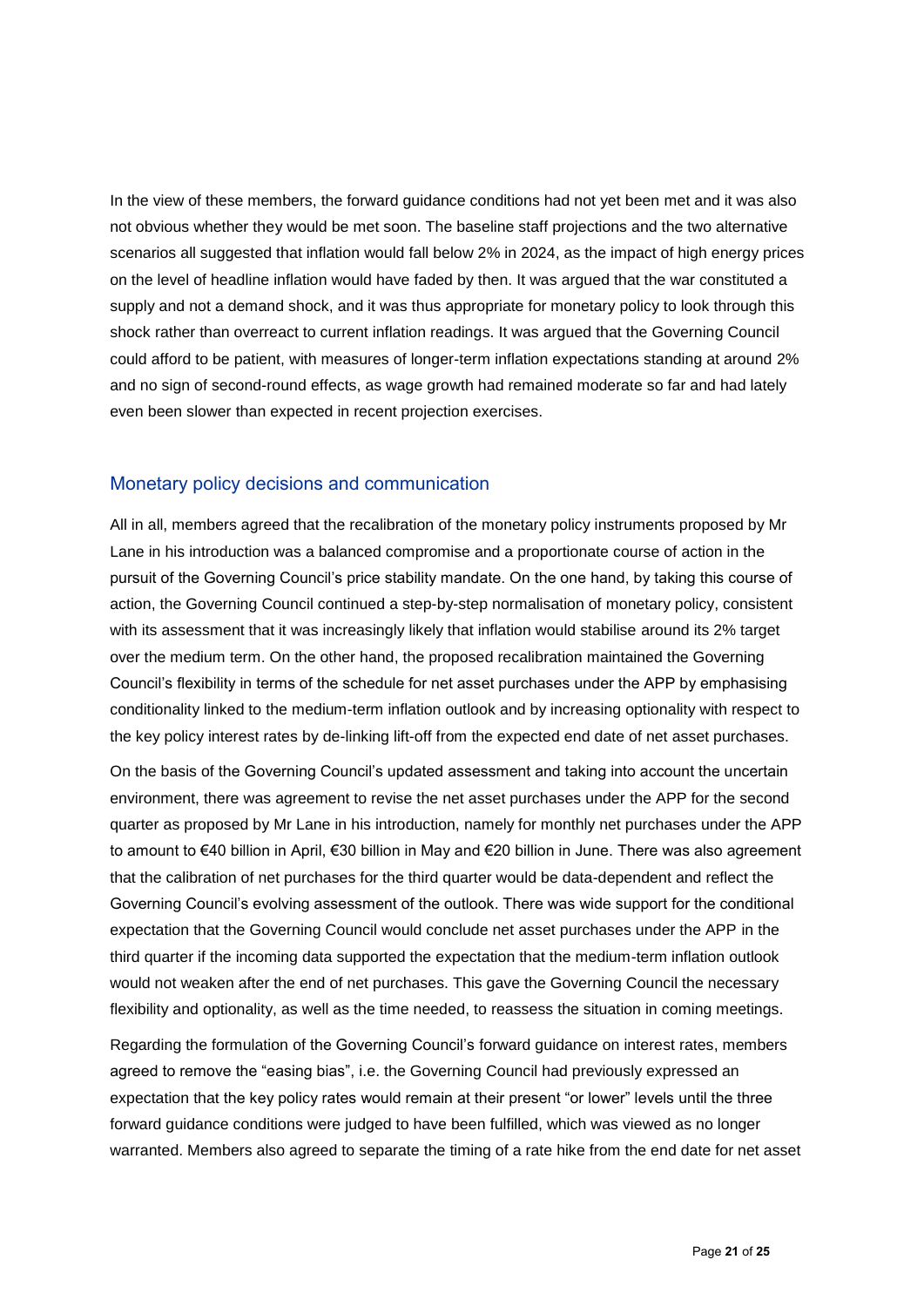In the view of these members, the forward guidance conditions had not yet been met and it was also not obvious whether they would be met soon. The baseline staff projections and the two alternative scenarios all suggested that inflation would fall below 2% in 2024, as the impact of high energy prices on the level of headline inflation would have faded by then. It was argued that the war constituted a supply and not a demand shock, and it was thus appropriate for monetary policy to look through this shock rather than overreact to current inflation readings. It was argued that the Governing Council could afford to be patient, with measures of longer-term inflation expectations standing at around 2% and no sign of second-round effects, as wage growth had remained moderate so far and had lately even been slower than expected in recent projection exercises.

### Monetary policy decisions and communication

All in all, members agreed that the recalibration of the monetary policy instruments proposed by Mr Lane in his introduction was a balanced compromise and a proportionate course of action in the pursuit of the Governing Council's price stability mandate. On the one hand, by taking this course of action, the Governing Council continued a step-by-step normalisation of monetary policy, consistent with its assessment that it was increasingly likely that inflation would stabilise around its 2% target over the medium term. On the other hand, the proposed recalibration maintained the Governing Council's flexibility in terms of the schedule for net asset purchases under the APP by emphasising conditionality linked to the medium-term inflation outlook and by increasing optionality with respect to the key policy interest rates by de-linking lift-off from the expected end date of net asset purchases.

On the basis of the Governing Council's updated assessment and taking into account the uncertain environment, there was agreement to revise the net asset purchases under the APP for the second quarter as proposed by Mr Lane in his introduction, namely for monthly net purchases under the APP to amount to €40 billion in April, €30 billion in May and €20 billion in June. There was also agreement that the calibration of net purchases for the third quarter would be data-dependent and reflect the Governing Council's evolving assessment of the outlook. There was wide support for the conditional expectation that the Governing Council would conclude net asset purchases under the APP in the third quarter if the incoming data supported the expectation that the medium-term inflation outlook would not weaken after the end of net purchases. This gave the Governing Council the necessary flexibility and optionality, as well as the time needed, to reassess the situation in coming meetings.

Regarding the formulation of the Governing Council's forward guidance on interest rates, members agreed to remove the "easing bias", i.e. the Governing Council had previously expressed an expectation that the key policy rates would remain at their present "or lower" levels until the three forward guidance conditions were judged to have been fulfilled, which was viewed as no longer warranted. Members also agreed to separate the timing of a rate hike from the end date for net asset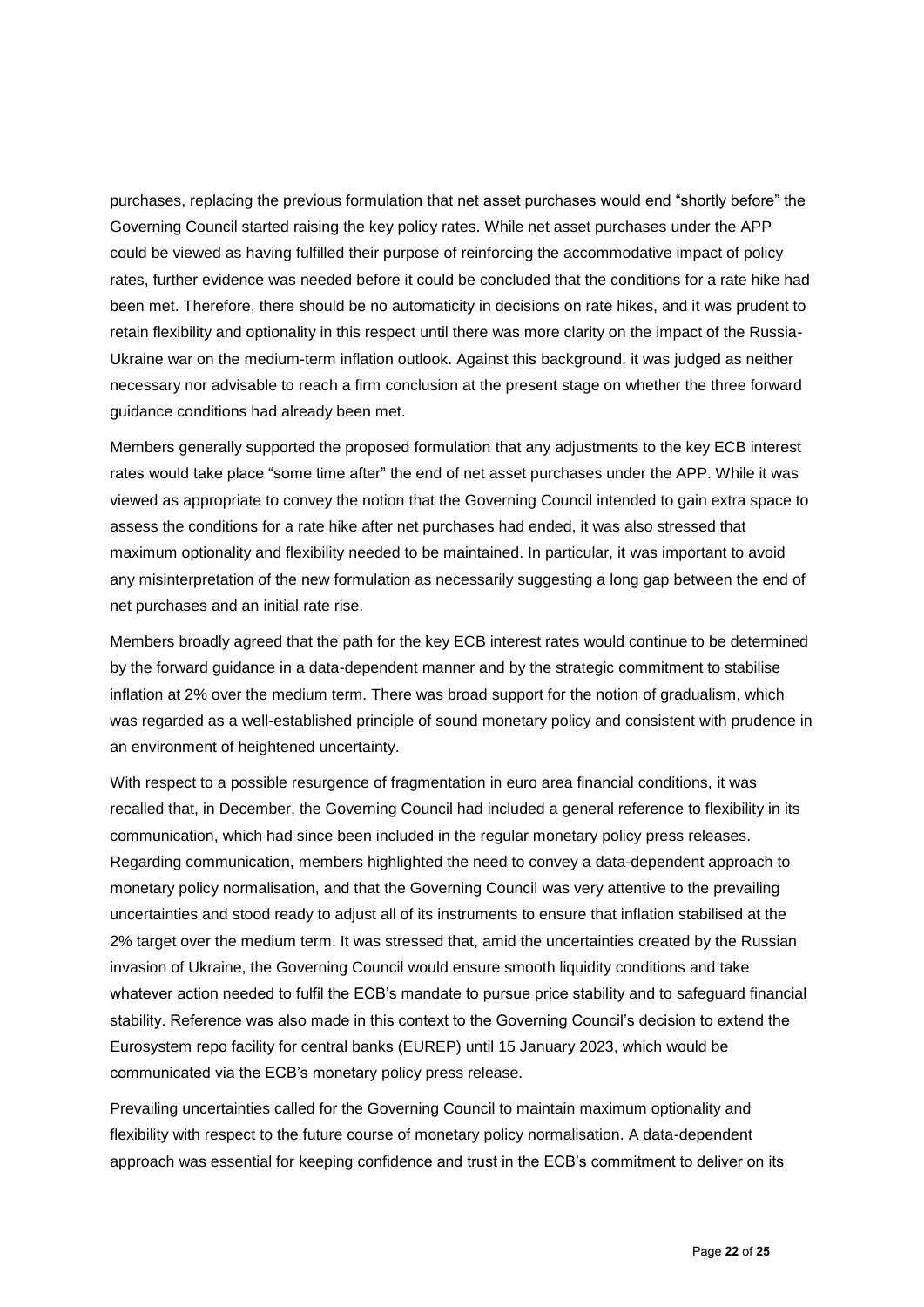purchases, replacing the previous formulation that net asset purchases would end "shortly before" the Governing Council started raising the key policy rates. While net asset purchases under the APP could be viewed as having fulfilled their purpose of reinforcing the accommodative impact of policy rates, further evidence was needed before it could be concluded that the conditions for a rate hike had been met. Therefore, there should be no automaticity in decisions on rate hikes, and it was prudent to retain flexibility and optionality in this respect until there was more clarity on the impact of the Russia-Ukraine war on the medium-term inflation outlook. Against this background, it was judged as neither necessary nor advisable to reach a firm conclusion at the present stage on whether the three forward guidance conditions had already been met.

Members generally supported the proposed formulation that any adjustments to the key ECB interest rates would take place "some time after" the end of net asset purchases under the APP. While it was viewed as appropriate to convey the notion that the Governing Council intended to gain extra space to assess the conditions for a rate hike after net purchases had ended, it was also stressed that maximum optionality and flexibility needed to be maintained. In particular, it was important to avoid any misinterpretation of the new formulation as necessarily suggesting a long gap between the end of net purchases and an initial rate rise.

Members broadly agreed that the path for the key ECB interest rates would continue to be determined by the forward guidance in a data-dependent manner and by the strategic commitment to stabilise inflation at 2% over the medium term. There was broad support for the notion of gradualism, which was regarded as a well-established principle of sound monetary policy and consistent with prudence in an environment of heightened uncertainty.

With respect to a possible resurgence of fragmentation in euro area financial conditions, it was recalled that, in December, the Governing Council had included a general reference to flexibility in its communication, which had since been included in the regular monetary policy press releases. Regarding communication, members highlighted the need to convey a data-dependent approach to monetary policy normalisation, and that the Governing Council was very attentive to the prevailing uncertainties and stood ready to adjust all of its instruments to ensure that inflation stabilised at the 2% target over the medium term. It was stressed that, amid the uncertainties created by the Russian invasion of Ukraine, the Governing Council would ensure smooth liquidity conditions and take whatever action needed to fulfil the ECB's mandate to pursue price stability and to safeguard financial stability. Reference was also made in this context to the Governing Council's decision to extend the Eurosystem repo facility for central banks (EUREP) until 15 January 2023, which would be communicated via the ECB's monetary policy press release.

Prevailing uncertainties called for the Governing Council to maintain maximum optionality and flexibility with respect to the future course of monetary policy normalisation. A data-dependent approach was essential for keeping confidence and trust in the ECB's commitment to deliver on its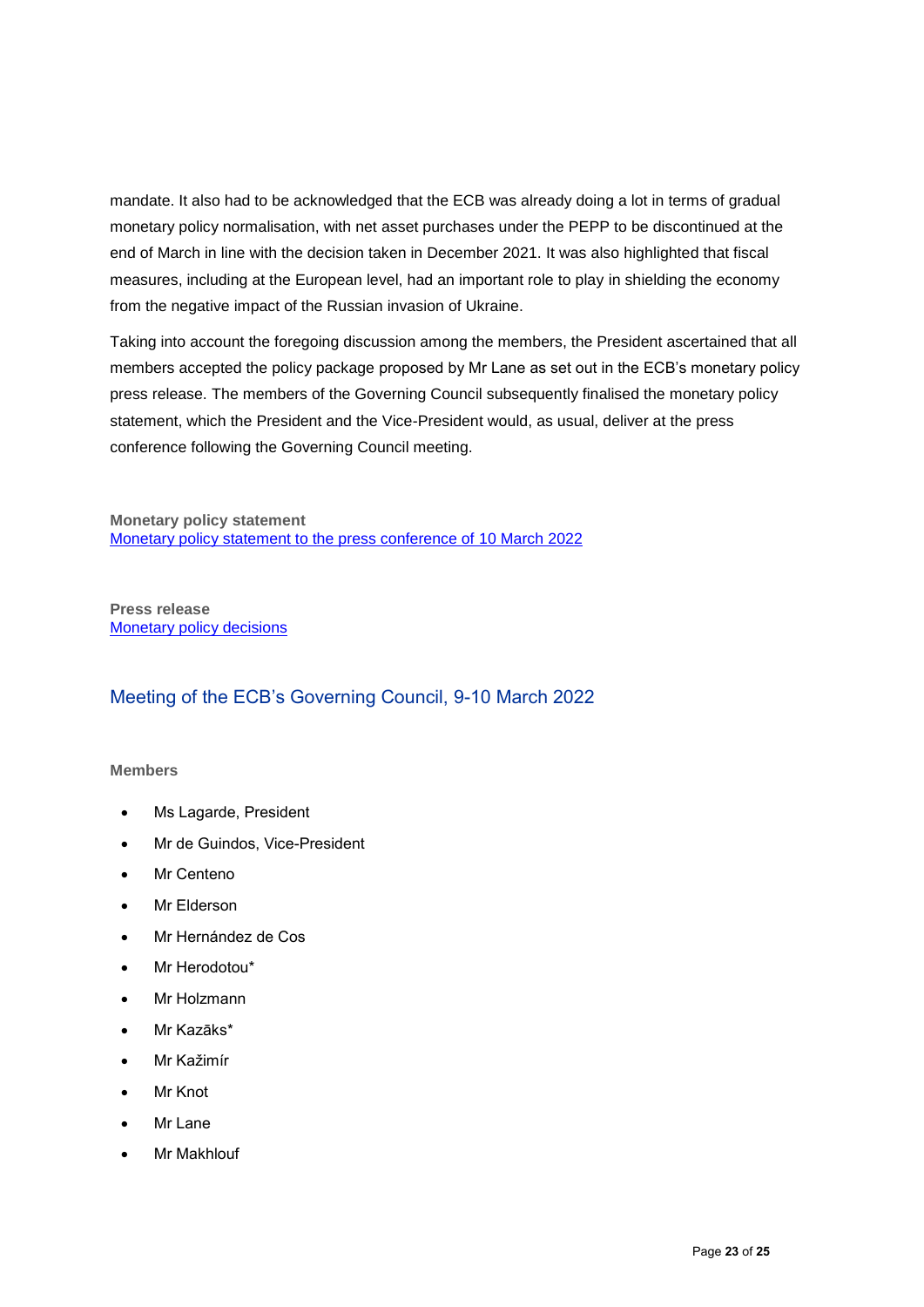mandate. It also had to be acknowledged that the ECB was already doing a lot in terms of gradual monetary policy normalisation, with net asset purchases under the PEPP to be discontinued at the end of March in line with the decision taken in December 2021. It was also highlighted that fiscal measures, including at the European level, had an important role to play in shielding the economy from the negative impact of the Russian invasion of Ukraine.

Taking into account the foregoing discussion among the members, the President ascertained that all members accepted the policy package proposed by Mr Lane as set out in the ECB's monetary policy press release. The members of the Governing Council subsequently finalised the monetary policy statement, which the President and the Vice-President would, as usual, deliver at the press conference following the Governing Council meeting.

**Monetary policy statement** [Monetary policy statement to the press conference of 10 March](https://www.ecb.europa.eu/press/pressconf/2022/html/ecb.is220310~1bc8c1b1ca.en.html) 2022

**Press release [Monetary policy decisions](https://www.ecb.europa.eu/press/pr/date/2022/html/ecb.mp220310~2d19f8ba60.en.html)** 

## Meeting of the ECB's Governing Council, 9-10 March 2022

#### **Members**

- Ms Lagarde, President
- Mr de Guindos, Vice-President
- Mr Centeno
- Mr Elderson
- Mr Hernández de Cos
- Mr Herodotou\*
- Mr Holzmann
- Mr Kazāks\*
- Mr Kažimír
- Mr Knot
- Mr Lane
- Mr Makhlouf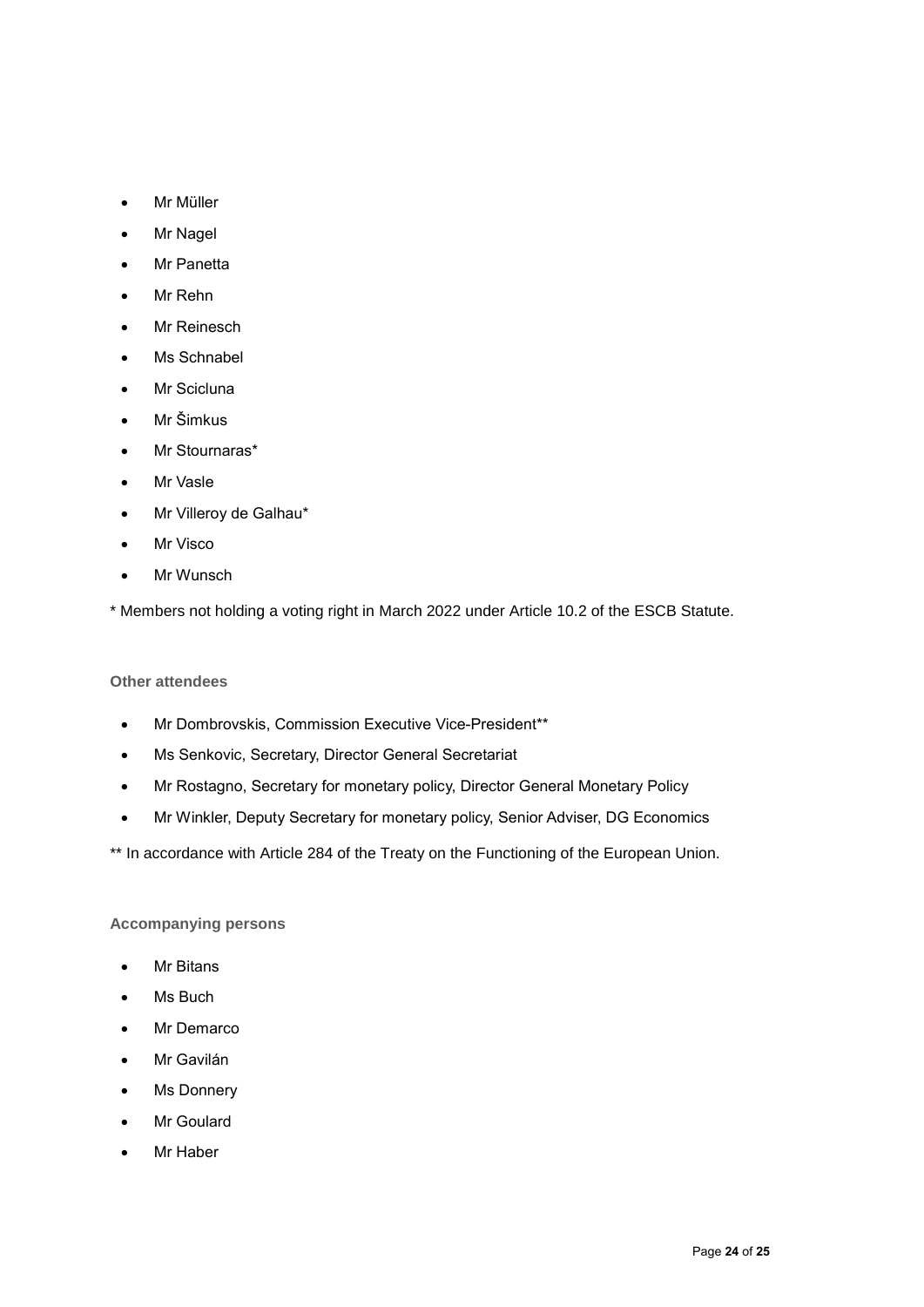- Mr Müller
- Mr Nagel
- Mr Panetta
- Mr Rehn
- Mr Reinesch
- Ms Schnabel
- Mr Scicluna
- Mr Šimkus
- Mr Stournaras\*
- Mr Vasle
- Mr Villeroy de Galhau\*
- Mr Visco
- Mr Wunsch

\* Members not holding a voting right in March 2022 under Article 10.2 of the ESCB Statute.

#### **Other attendees**

- Mr Dombrovskis, Commission Executive Vice-President\*\*
- Ms Senkovic, Secretary, Director General Secretariat
- Mr Rostagno, Secretary for monetary policy, Director General Monetary Policy
- Mr Winkler, Deputy Secretary for monetary policy, Senior Adviser, DG Economics

\*\* In accordance with Article 284 of the Treaty on the Functioning of the European Union.

#### **Accompanying persons**

- Mr Bitans
- Ms Buch
- Mr Demarco
- Mr Gavilán
- Ms Donnery
- Mr Goulard
- Mr Haber